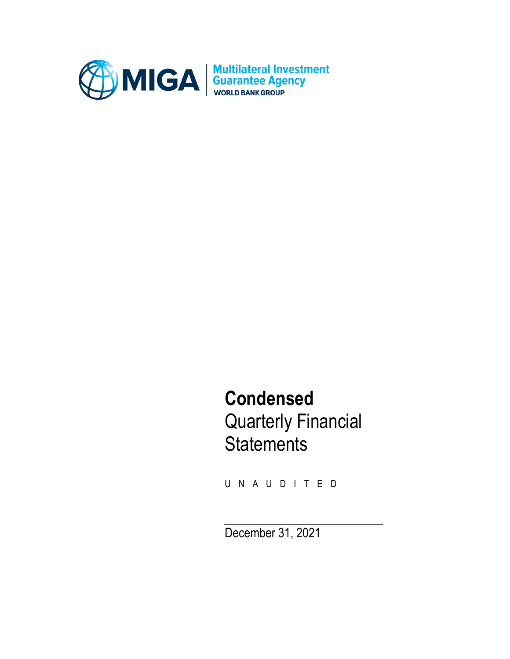

## **Condensed** Quarterly Financial **Statements**

UNAUDITED

December 31, 2021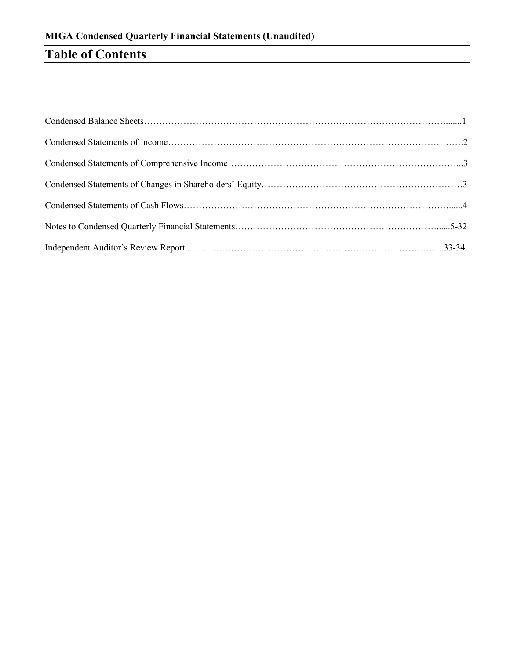## **Table of Contents**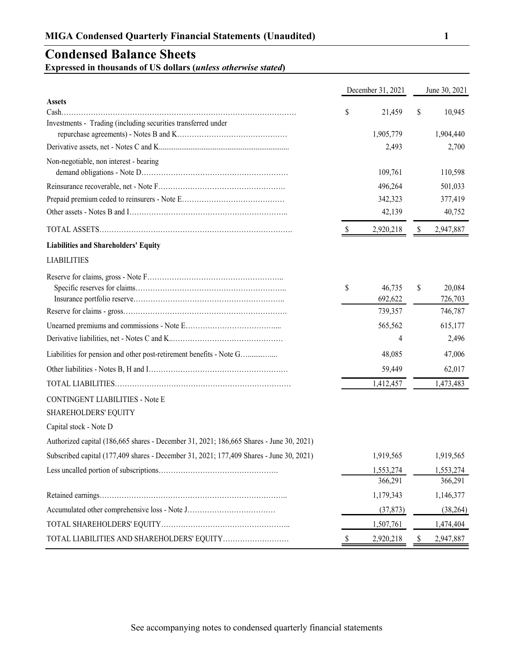## **Condensed Balance Sheets**

**Expressed in thousands of US dollars (***unless otherwise stated***)**

|                                                                                         |    | December 31, 2021 |    | June 30, 2021 |  |
|-----------------------------------------------------------------------------------------|----|-------------------|----|---------------|--|
| <b>Assets</b>                                                                           |    |                   |    |               |  |
| Cash<br>Investments - Trading (including securities transferred under                   | \$ | 21,459            | \$ | 10,945        |  |
|                                                                                         |    | 1,905,779         |    | 1,904,440     |  |
|                                                                                         |    | 2,493             |    | 2,700         |  |
| Non-negotiable, non interest - bearing                                                  |    |                   |    |               |  |
|                                                                                         |    | 109,761           |    | 110,598       |  |
|                                                                                         |    | 496,264           |    | 501,033       |  |
|                                                                                         |    | 342,323           |    | 377,419       |  |
|                                                                                         |    | 42,139            |    | 40,752        |  |
|                                                                                         | S  | 2,920,218         | S  | 2,947,887     |  |
| <b>Liabilities and Shareholders' Equity</b>                                             |    |                   |    |               |  |
| <b>LIABILITIES</b>                                                                      |    |                   |    |               |  |
|                                                                                         |    |                   |    |               |  |
|                                                                                         | \$ | 46,735            | \$ | 20,084        |  |
|                                                                                         |    | 692,622           |    | 726,703       |  |
|                                                                                         |    | 739,357           |    | 746,787       |  |
|                                                                                         |    | 565,562           |    | 615,177       |  |
|                                                                                         |    | 4                 |    | 2,496         |  |
| Liabilities for pension and other post-retirement benefits - Note G                     |    | 48,085            |    | 47,006        |  |
|                                                                                         |    | 59,449            |    | 62,017        |  |
|                                                                                         |    | 1,412,457         |    | 1,473,483     |  |
| <b>CONTINGENT LIABILITIES - Note E</b>                                                  |    |                   |    |               |  |
| SHAREHOLDERS' EQUITY                                                                    |    |                   |    |               |  |
| Capital stock - Note D                                                                  |    |                   |    |               |  |
| Authorized capital (186,665 shares - December 31, 2021; 186,665 Shares - June 30, 2021) |    |                   |    |               |  |
| Subscribed capital (177,409 shares - December 31, 2021; 177,409 Shares - June 30, 2021) |    | 1,919,565         |    | 1,919,565     |  |
|                                                                                         |    | 1,553,274         |    | 1,553,274     |  |
|                                                                                         |    | 366,291           |    | 366,291       |  |
|                                                                                         |    | 1,179,343         |    | 1,146,377     |  |
|                                                                                         |    | (37, 873)         |    | (38, 264)     |  |
|                                                                                         |    | 1,507,761         |    | 1,474,404     |  |
| TOTAL LIABILITIES AND SHAREHOLDERS' EQUITY                                              | \$ | 2,920,218         | \$ | 2,947,887     |  |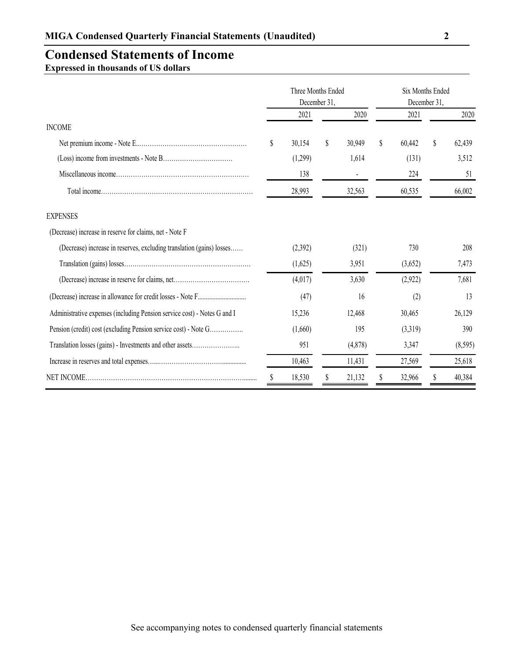### **Condensed Statements of Income**

**Expressed in thousands of US dollars**

|                                                                          | Three Months Ended<br>December 31, |         |     |         | Six Months Ended<br>December 31, |              |  |
|--------------------------------------------------------------------------|------------------------------------|---------|-----|---------|----------------------------------|--------------|--|
|                                                                          |                                    | 2021    |     | 2020    | 2021                             | 2020         |  |
| <b>INCOME</b>                                                            |                                    |         |     |         |                                  |              |  |
|                                                                          | S                                  | 30,154  | \$. | 30.949  | \$<br>60,442                     | \$<br>62,439 |  |
|                                                                          |                                    | (1,299) |     | 1,614   | (131)                            | 3,512        |  |
|                                                                          |                                    | 138     |     | -       | 224                              | 51           |  |
|                                                                          |                                    | 28,993  |     | 32,563  | 60,535                           | 66,002       |  |
| <b>EXPENSES</b>                                                          |                                    |         |     |         |                                  |              |  |
| (Decrease) increase in reserve for claims, net - Note F                  |                                    |         |     |         |                                  |              |  |
| (Decrease) increase in reserves, excluding translation (gains) losses    |                                    | (2,392) |     | (321)   | 730                              | 208          |  |
|                                                                          |                                    | (1,625) |     | 3,951   | (3,652)                          | 7,473        |  |
|                                                                          |                                    | (4,017) |     | 3,630   | (2,922)                          | 7,681        |  |
|                                                                          |                                    | (47)    |     | 16      | (2)                              | 13           |  |
| Administrative expenses (including Pension service cost) - Notes G and I |                                    | 15,236  |     | 12,468  | 30,465                           | 26,129       |  |
| Pension (credit) cost (excluding Pension service cost) - Note G          |                                    | (1,660) |     | 195     | (3,319)                          | 390          |  |
| Translation losses (gains) - Investments and other assets                |                                    | 951     |     | (4,878) | 3,347                            | (8,595)      |  |
|                                                                          |                                    | 10,463  |     | 11,431  | 27,569                           | 25,618       |  |
|                                                                          |                                    | 18,530  |     | 21,132  | 32,966                           | 40,384       |  |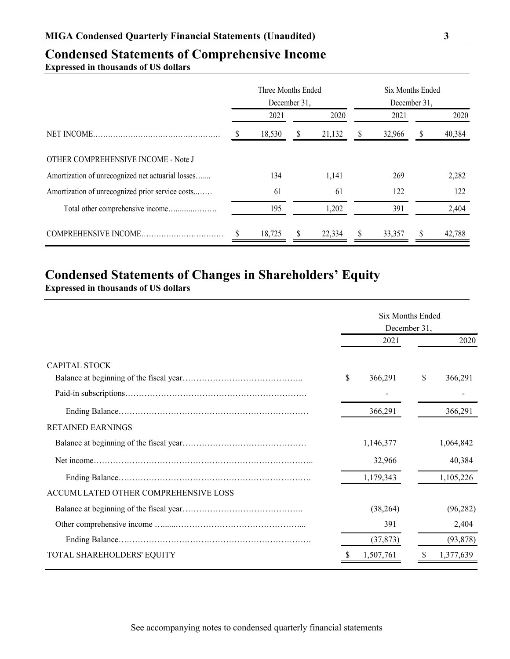## **Condensed Statements of Comprehensive Income**

**Expressed in thousands of US dollars**

|                                                   | Three Months Ended<br>December 31, |        |          |        |   | Six Months Ended<br>December 31, |   |        |
|---------------------------------------------------|------------------------------------|--------|----------|--------|---|----------------------------------|---|--------|
|                                                   |                                    | 2021   |          | 2020   |   | 2021                             |   | 2020   |
|                                                   | \$                                 | 18,530 | \$       | 21,132 | S | 32,966                           | S | 40,384 |
| OTHER COMPREHENSIVE INCOME - Note J               |                                    |        |          |        |   |                                  |   |        |
| Amortization of unrecognized net actuarial losses |                                    | 134    |          | 1.141  |   | 269                              |   | 2,282  |
| Amortization of unrecognized prior service costs  |                                    | 61     |          | 61     |   | 122                              |   | 122    |
|                                                   |                                    | 195    |          | 1,202  |   | 391                              |   | 2,404  |
|                                                   |                                    | 18.725 | <b>S</b> | 22.334 |   | 33.357                           | S | 42,788 |

## **Condensed Statements of Changes in Shareholders' Equity**

**Expressed in thousands of US dollars**

|                                      | <b>Six Months Ended</b><br>December 31, |           |    |           |  |
|--------------------------------------|-----------------------------------------|-----------|----|-----------|--|
|                                      |                                         | 2021      |    | 2020      |  |
| <b>CAPITAL STOCK</b>                 |                                         |           |    |           |  |
|                                      | \$                                      | 366,291   | \$ | 366,291   |  |
|                                      |                                         |           |    |           |  |
|                                      |                                         | 366,291   |    | 366,291   |  |
| <b>RETAINED EARNINGS</b>             |                                         |           |    |           |  |
|                                      |                                         | 1,146,377 |    | 1,064,842 |  |
|                                      |                                         | 32,966    |    | 40,384    |  |
|                                      |                                         | 1,179,343 |    | 1,105,226 |  |
| ACCUMULATED OTHER COMPREHENSIVE LOSS |                                         |           |    |           |  |
|                                      |                                         | (38, 264) |    | (96, 282) |  |
|                                      |                                         | 391       |    | 2,404     |  |
|                                      |                                         | (37, 873) |    | (93, 878) |  |
| TOTAL SHAREHOLDERS' EQUITY           |                                         | 1,507,761 |    | 1,377,639 |  |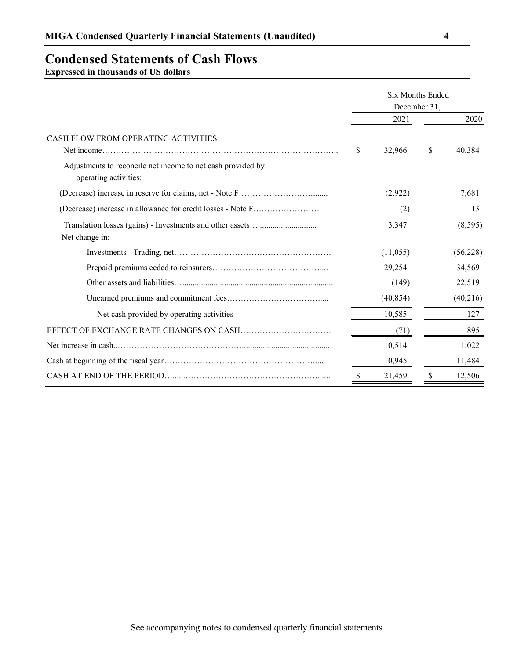## **Condensed Statements of Cash Flows**

**Expressed in thousands of US dollars**

|                                                                                      |    | Six Months Ended |    |           |
|--------------------------------------------------------------------------------------|----|------------------|----|-----------|
|                                                                                      |    |                  |    |           |
|                                                                                      |    | 2021             |    | 2020      |
| CASH FLOW FROM OPERATING ACTIVITIES                                                  |    |                  |    |           |
|                                                                                      | \$ | 32,966           | \$ | 40,384    |
| Adjustments to reconcile net income to net cash provided by<br>operating activities: |    |                  |    |           |
|                                                                                      |    | (2,922)          |    | 7,681     |
| (Decrease) increase in allowance for credit losses - Note F                          |    | (2)              |    | 13        |
|                                                                                      |    | 3,347            |    | (8, 595)  |
| Net change in:                                                                       |    |                  |    |           |
|                                                                                      |    | (11,055)         |    | (56, 228) |
|                                                                                      |    | 29,254           |    | 34,569    |
|                                                                                      |    | (149)            |    | 22,519    |
|                                                                                      |    | (40, 854)        |    | (40,216)  |
| Net cash provided by operating activities                                            |    | 10,585           |    | 127       |
|                                                                                      |    | (71)             |    | 895       |
|                                                                                      |    | 10,514           |    | 1,022     |
|                                                                                      |    | 10,945           |    | 11,484    |
|                                                                                      |    | 21,459           | S  | 12,506    |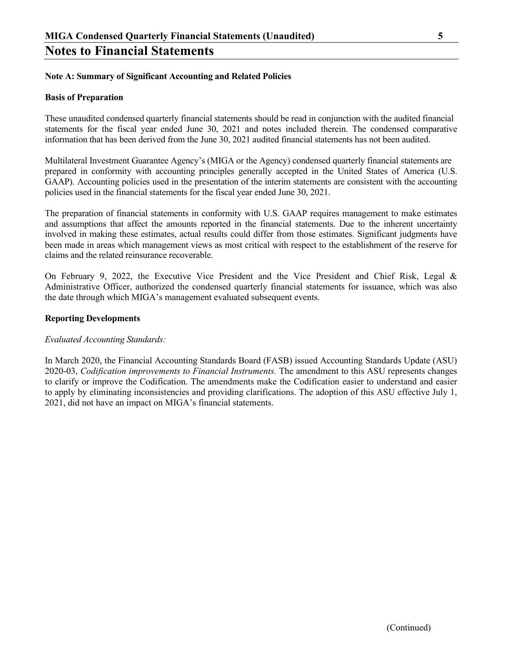#### **Note A: Summary of Significant Accounting and Related Policies**

#### **Basis of Preparation**

These unaudited condensed quarterly financial statements should be read in conjunction with the audited financial statements for the fiscal year ended June 30, 2021 and notes included therein. The condensed comparative information that has been derived from the June 30, 2021 audited financial statements has not been audited.

Multilateral Investment Guarantee Agency's (MIGA or the Agency) condensed quarterly financial statements are prepared in conformity with accounting principles generally accepted in the United States of America (U.S. GAAP). Accounting policies used in the presentation of the interim statements are consistent with the accounting policies used in the financial statements for the fiscal year ended June 30, 2021.

The preparation of financial statements in conformity with U.S. GAAP requires management to make estimates and assumptions that affect the amounts reported in the financial statements. Due to the inherent uncertainty involved in making these estimates, actual results could differ from those estimates. Significant judgments have been made in areas which management views as most critical with respect to the establishment of the reserve for claims and the related reinsurance recoverable.

On February 9, 2022, the Executive Vice President and the Vice President and Chief Risk, Legal & Administrative Officer, authorized the condensed quarterly financial statements for issuance, which was also the date through which MIGA's management evaluated subsequent events.

#### **Reporting Developments**

#### *Evaluated Accounting Standards:*

In March 2020, the Financial Accounting Standards Board (FASB) issued Accounting Standards Update (ASU) 2020-03, *Codification improvements to Financial Instruments.* The amendment to this ASU represents changes to clarify or improve the Codification. The amendments make the Codification easier to understand and easier to apply by eliminating inconsistencies and providing clarifications. The adoption of this ASU effective July 1, 2021, did not have an impact on MIGA's financial statements.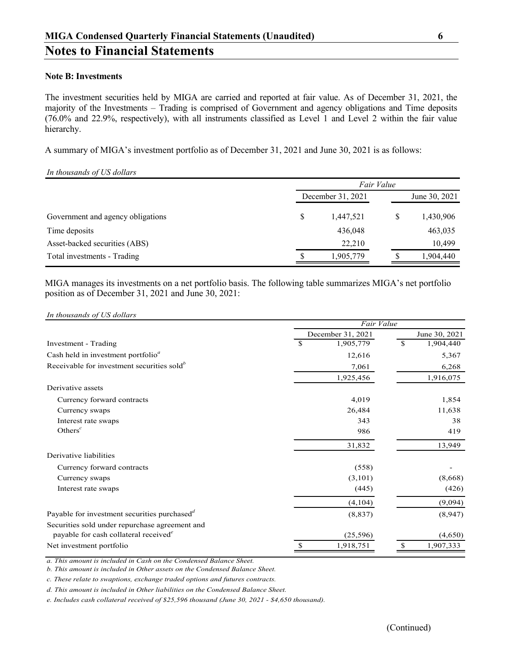#### **Note B: Investments**

The investment securities held by MIGA are carried and reported at fair value. As of December 31, 2021, the majority of the Investments – Trading is comprised of Government and agency obligations and Time deposits (76.0% and 22.9%, respectively), with all instruments classified as Level 1 and Level 2 within the fair value hierarchy.

A summary of MIGA's investment portfolio as of December 31, 2021 and June 30, 2021 is as follows:

#### *In thousands of US dollars*

|                                   | Fair Value |                   |  |               |  |  |  |
|-----------------------------------|------------|-------------------|--|---------------|--|--|--|
|                                   |            | December 31, 2021 |  | June 30, 2021 |  |  |  |
| Government and agency obligations | \$         | 1,447,521         |  | 1,430,906     |  |  |  |
| Time deposits                     |            | 436,048           |  | 463,035       |  |  |  |
| Asset-backed securities (ABS)     |            | 22.210            |  | 10,499        |  |  |  |
| Total investments - Trading       | S          | 1,905,779         |  | 1,904,440     |  |  |  |

MIGA manages its investments on a net portfolio basis. The following table summarizes MIGA's net portfolio position as of December 31, 2021 and June 30, 2021:

*In thousands of US dollars*

|               |          |                                                          | June 30, 2021 |
|---------------|----------|----------------------------------------------------------|---------------|
| $\mathcal{S}$ |          | <sup>\$</sup>                                            | 1,904,440     |
|               | 12,616   |                                                          | 5,367         |
|               | 7,061    |                                                          | 6,268         |
|               |          |                                                          | 1,916,075     |
|               |          |                                                          |               |
|               | 4,019    |                                                          | 1,854         |
|               | 26,484   |                                                          | 11,638        |
|               | 343      |                                                          | 38            |
|               | 986      |                                                          | 419           |
|               | 31,832   |                                                          | 13,949        |
|               |          |                                                          |               |
|               | (558)    |                                                          |               |
|               | (3,101)  |                                                          | (8,668)       |
|               | (445)    |                                                          | (426)         |
|               | (4,104)  |                                                          | (9,094)       |
|               | (8,837)  |                                                          | (8,947)       |
|               |          |                                                          |               |
|               | (25,596) |                                                          | (4,650)       |
|               |          | S                                                        | 1,907,333     |
|               |          | December 31, 2021<br>1,905,779<br>1,925,456<br>1,918,751 | Fair Value    |

*a. This amount is included in Cash on the Condensed Balance Sheet.*

*b. This amount is included in Other assets on the Condensed Balance Sheet.*

*c. These relate to swaptions, exchange traded options and futures contracts.*

*d. This amount is included in Other liabilities on the Condensed Balance Sheet.*

*e. Includes cash collateral received of \$25,596 thousand (June 30, 2021 - \$4,650 thousand).*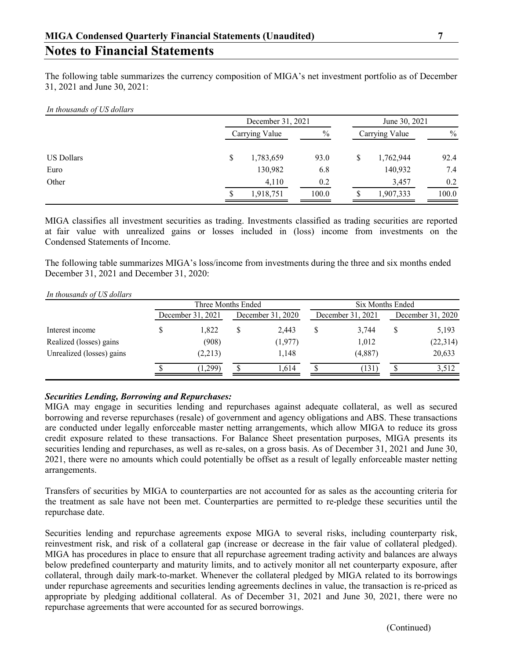The following table summarizes the currency composition of MIGA's net investment portfolio as of December 31, 2021 and June 30, 2021:

#### *In thousands of US dollars*

|                   | December 31, 2021 |       |   | June 30, 2021  |       |
|-------------------|-------------------|-------|---|----------------|-------|
|                   | Carrying Value    | $\%$  |   | Carrying Value | $\%$  |
| <b>US Dollars</b> | \$<br>1,783,659   | 93.0  | S | 1,762,944      | 92.4  |
| Euro              | 130,982           | 6.8   |   | 140,932        | 7.4   |
| Other             | 4.110             | 0.2   |   | 3.457          | 0.2   |
|                   | 1,918,751         | 100.0 |   | 1,907,333      | 100.0 |

MIGA classifies all investment securities as trading. Investments classified as trading securities are reported at fair value with unrealized gains or losses included in (loss) income from investments on the Condensed Statements of Income.

The following table summarizes MIGA's loss/income from investments during the three and six months ended December 31, 2021 and December 31, 2020:

|                           | Three Months Ended |  | Six Months Ended  |                   |                   |
|---------------------------|--------------------|--|-------------------|-------------------|-------------------|
|                           | December 31, 2021  |  | December 31, 2020 | December 31, 2021 | December 31, 2020 |
| Interest income           | 1.822              |  | 2.443             | 3,744             | 5,193             |
| Realized (losses) gains   | (908)              |  | (1,977)           | 1,012             | (22, 314)         |
| Unrealized (losses) gains | (2,213)            |  | 1,148             | (4,887)           | 20,633            |
|                           | (1,299)            |  | .614              | (131)             | 3,512             |

*In thousands of US dollars*

#### *Securities Lending, Borrowing and Repurchases:*

MIGA may engage in securities lending and repurchases against adequate collateral, as well as secured borrowing and reverse repurchases (resale) of government and agency obligations and ABS. These transactions are conducted under legally enforceable master netting arrangements, which allow MIGA to reduce its gross credit exposure related to these transactions. For Balance Sheet presentation purposes, MIGA presents its securities lending and repurchases, as well as re-sales, on a gross basis. As of December 31, 2021 and June 30, 2021, there were no amounts which could potentially be offset as a result of legally enforceable master netting arrangements.

Transfers of securities by MIGA to counterparties are not accounted for as sales as the accounting criteria for the treatment as sale have not been met. Counterparties are permitted to re-pledge these securities until the repurchase date.

Securities lending and repurchase agreements expose MIGA to several risks, including counterparty risk, reinvestment risk, and risk of a collateral gap (increase or decrease in the fair value of collateral pledged). MIGA has procedures in place to ensure that all repurchase agreement trading activity and balances are always below predefined counterparty and maturity limits, and to actively monitor all net counterparty exposure, after collateral, through daily mark-to-market. Whenever the collateral pledged by MIGA related to its borrowings under repurchase agreements and securities lending agreements declines in value, the transaction is re-priced as appropriate by pledging additional collateral. As of December 31, 2021 and June 30, 2021, there were no repurchase agreements that were accounted for as secured borrowings.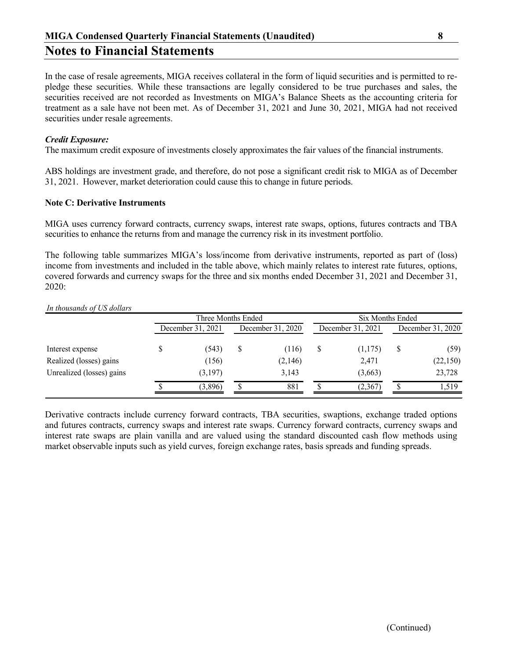In the case of resale agreements, MIGA receives collateral in the form of liquid securities and is permitted to repledge these securities. While these transactions are legally considered to be true purchases and sales, the securities received are not recorded as Investments on MIGA's Balance Sheets as the accounting criteria for treatment as a sale have not been met. As of December 31, 2021 and June 30, 2021, MIGA had not received securities under resale agreements.

#### *Credit Exposure:*

The maximum credit exposure of investments closely approximates the fair values of the financial instruments.

ABS holdings are investment grade, and therefore, do not pose a significant credit risk to MIGA as of December 31, 2021. However, market deterioration could cause this to change in future periods.

#### **Note C: Derivative Instruments**

MIGA uses currency forward contracts, currency swaps, interest rate swaps, options, futures contracts and TBA securities to enhance the returns from and manage the currency risk in its investment portfolio.

The following table summarizes MIGA's loss/income from derivative instruments, reported as part of (loss) income from investments and included in the table above, which mainly relates to interest rate futures, options, covered forwards and currency swaps for the three and six months ended December 31, 2021 and December 31, 2020:

#### *In thousands of US dollars*

|                           | Three Months Ended |                   |         |  | Six Months Ended  |  |                   |  |
|---------------------------|--------------------|-------------------|---------|--|-------------------|--|-------------------|--|
|                           | December 31, 2021  | December 31, 2020 |         |  | December 31, 2021 |  | December 31, 2020 |  |
| Interest expense          | (543)              |                   | (116)   |  | (1,175)           |  | (59)              |  |
| Realized (losses) gains   | (156)              |                   | (2,146) |  | 2,471             |  | (22, 150)         |  |
| Unrealized (losses) gains | (3,197)            |                   | 3,143   |  | (3,663)           |  | 23,728            |  |
|                           | (3,896)            |                   | 881     |  | (2,367)           |  | 1,519             |  |

Derivative contracts include currency forward contracts, TBA securities, swaptions, exchange traded options and futures contracts, currency swaps and interest rate swaps. Currency forward contracts, currency swaps and interest rate swaps are plain vanilla and are valued using the standard discounted cash flow methods using market observable inputs such as yield curves, foreign exchange rates, basis spreads and funding spreads.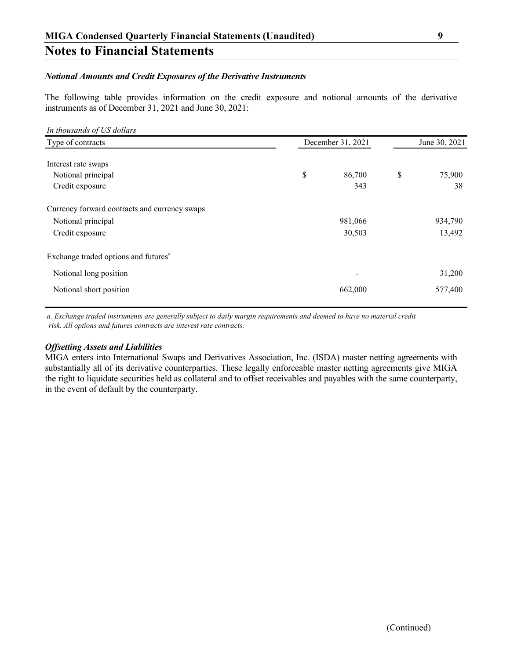#### *Notional Amounts and Credit Exposures of the Derivative Instruments*

The following table provides information on the credit exposure and notional amounts of the derivative instruments as of December 31, 2021 and June 30, 2021:

#### *In thousands of US dollars*

| Type of contracts                                       | December 31, 2021 | June 30, 2021 |         |  |
|---------------------------------------------------------|-------------------|---------------|---------|--|
| Interest rate swaps                                     |                   |               |         |  |
| Notional principal                                      | \$<br>86,700      | \$            | 75,900  |  |
| Credit exposure                                         | 343               |               | 38      |  |
| Currency forward contracts and currency swaps           |                   |               |         |  |
| Notional principal                                      | 981,066           |               | 934,790 |  |
| Credit exposure                                         | 30,503            |               | 13,492  |  |
| Exchange traded options and futures <sup><i>a</i></sup> |                   |               |         |  |
| Notional long position                                  |                   |               | 31,200  |  |
| Notional short position                                 | 662,000           |               | 577,400 |  |

*a. Exchange traded instruments are generally subject to daily margin requirements and deemed to have no material credit risk. All options and futures contracts are interest rate contracts.*

#### *Offsetting Assets and Liabilities*

MIGA enters into International Swaps and Derivatives Association, Inc. (ISDA) master netting agreements with substantially all of its derivative counterparties. These legally enforceable master netting agreements give MIGA the right to liquidate securities held as collateral and to offset receivables and payables with the same counterparty, in the event of default by the counterparty.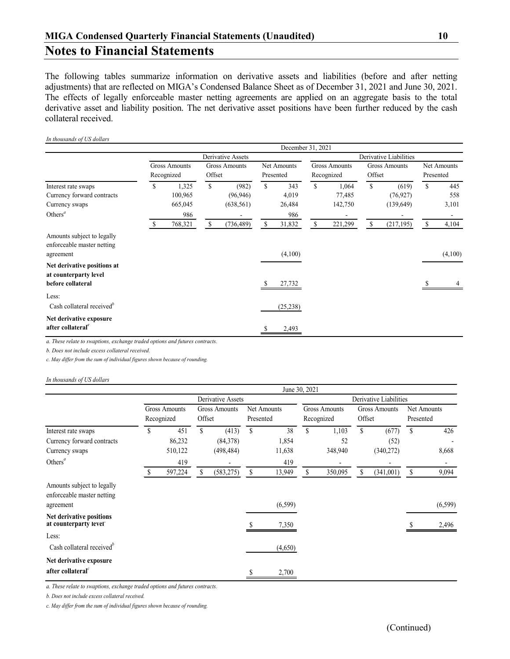The following tables summarize information on derivative assets and liabilities (before and after netting adjustments) that are reflected on MIGA's Condensed Balance Sheet as of December 31, 2021 and June 30, 2021. The effects of legally enforceable master netting agreements are applied on an aggregate basis to the total derivative asset and liability position. The net derivative asset positions have been further reduced by the cash collateral received.

#### *In thousands of US dollars*

|                      | December 31, 2021 |                      |            |                                           |           |                          |         |                                    |            |                                                          |             |  |  |
|----------------------|-------------------|----------------------|------------|-------------------------------------------|-----------|--------------------------|---------|------------------------------------|------------|----------------------------------------------------------|-------------|--|--|
|                      |                   |                      |            |                                           |           |                          |         |                                    |            |                                                          |             |  |  |
|                      |                   |                      |            |                                           |           |                          |         |                                    |            |                                                          | Net Amounts |  |  |
| Offset<br>Recognized |                   |                      |            |                                           |           |                          |         |                                    |            |                                                          |             |  |  |
| \$                   | 1,325             | $\mathbb{S}$         | (982)      | S                                         | 343       | \$                       | 1,064   | \$                                 | (619)      | \$                                                       | 445         |  |  |
|                      | 100,965           |                      | (96, 946)  |                                           | 4,019     |                          | 77,485  |                                    | (76, 927)  |                                                          | 558         |  |  |
|                      | 665,045           |                      | (638, 561) |                                           | 26,484    |                          | 142,750 |                                    | (139, 649) |                                                          | 3,101       |  |  |
|                      | 986               |                      |            |                                           | 986       |                          | ۰       |                                    |            |                                                          | ۰.          |  |  |
| <sup>\$</sup>        | 768,321           | \$                   | (736, 489) | \$                                        | 31,832    | \$                       | 221,299 | $\mathbb{S}$                       | (217, 195) | $\mathbb{S}$                                             | 4,104       |  |  |
|                      |                   |                      |            |                                           | (4,100)   |                          |         |                                    |            |                                                          | (4,100)     |  |  |
|                      |                   |                      |            |                                           | 27,732    |                          |         |                                    |            |                                                          | 4           |  |  |
|                      |                   |                      |            |                                           | (25, 238) |                          |         |                                    |            |                                                          |             |  |  |
|                      |                   |                      |            |                                           | 2,493     |                          |         |                                    |            |                                                          |             |  |  |
|                      |                   | <b>Gross Amounts</b> |            | Derivative Assets<br><b>Gross Amounts</b> |           | Net Amounts<br>Presented |         | <b>Gross Amounts</b><br>Recognized |            | Derivative Liabilities<br><b>Gross Amounts</b><br>Offset | Presented   |  |  |

*a. These relate to swaptions, exchange traded options and futures contracts.*

*b. Does not include excess collateral received.*

*c. May differ from the sum of individual figures shown because of rounding.*

#### *In thousands of US dollars*

|                                                                       | June 30, 2021                      |                          |    |                                 |    |                          |    |                                    |    |                                |    |                          |  |
|-----------------------------------------------------------------------|------------------------------------|--------------------------|----|---------------------------------|----|--------------------------|----|------------------------------------|----|--------------------------------|----|--------------------------|--|
|                                                                       |                                    |                          |    | Derivative Assets               |    |                          |    |                                    |    | Derivative Liabilities         |    |                          |  |
|                                                                       | <b>Gross Amounts</b><br>Recognized |                          |    | <b>Gross Amounts</b><br>Offset  |    | Net Amounts<br>Presented |    | <b>Gross Amounts</b><br>Recognized |    | <b>Gross Amounts</b><br>Offset |    | Net Amounts<br>Presented |  |
| Interest rate swaps<br>Currency forward contracts<br>Currency swaps   | \$                                 | 451<br>86,232<br>510,122 | \$ | (413)<br>(84,378)<br>(498, 484) | S  | 38<br>1,854<br>11,638    | \$ | 1,103<br>52<br>348,940             | \$ | (677)<br>(52)<br>(340,272)     | S  | 426<br>8,668             |  |
| Others <sup><math>a</math></sup>                                      | \$                                 | 419<br>597,224           | S  | (583, 275)                      | \$ | 419<br>13,949            | \$ | 350,095                            | \$ | (341,001)                      | \$ | 9,094                    |  |
| Amounts subject to legally<br>enforceable master netting<br>agreement |                                    |                          |    |                                 |    | (6, 599)                 |    |                                    |    |                                |    | (6,599)                  |  |
| Net derivative positions<br>at counterparty level                     |                                    |                          |    |                                 |    | 7,350                    |    |                                    |    |                                |    | 2,496                    |  |
| Less:<br>Cash collateral received <sup>b</sup>                        |                                    |                          |    |                                 |    | (4,650)                  |    |                                    |    |                                |    |                          |  |
| Net derivative exposure<br>after collateral                           |                                    |                          |    |                                 |    | 2,700                    |    |                                    |    |                                |    |                          |  |

*a. These relate to swaptions, exchange traded options and futures contracts.*

*b. Does not include excess collateral received.*

*c. May differ from the sum of individual figures shown because of rounding.*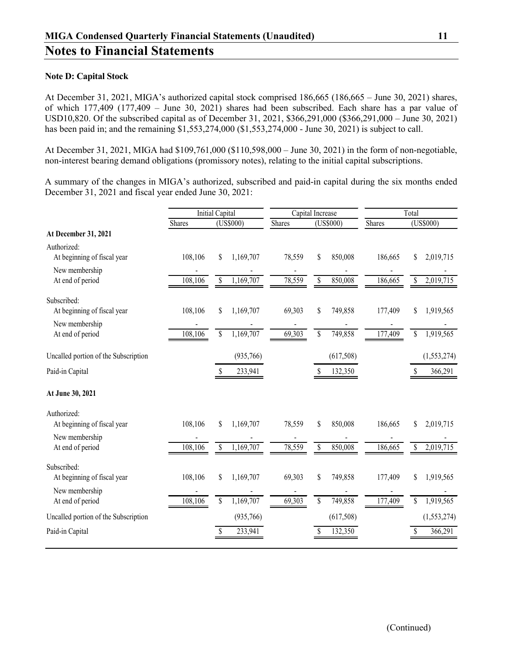#### **Note D: Capital Stock**

At December 31, 2021, MIGA's authorized capital stock comprised 186,665 (186,665 – June 30, 2021) shares, of which 177,409 (177,409 – June 30, 2021) shares had been subscribed. Each share has a par value of USD10,820. Of the subscribed capital as of December 31, 2021, \$366,291,000 (\$366,291,000 – June 30, 2021) has been paid in; and the remaining \$1,553,274,000 (\$1,553,274,000 - June 30, 2021) is subject to call.

At December 31, 2021, MIGA had \$109,761,000 (\$110,598,000 – June 30, 2021) in the form of non-negotiable, non-interest bearing demand obligations (promissory notes), relating to the initial capital subscriptions.

A summary of the changes in MIGA's authorized, subscribed and paid-in capital during the six months ended December 31, 2021 and fiscal year ended June 30, 2021:

|                                            |         | <b>Initial Capital</b>    |        | Capital Increase        | Total   |                                |  |  |
|--------------------------------------------|---------|---------------------------|--------|-------------------------|---------|--------------------------------|--|--|
|                                            | Shares  | (US\$000)                 | Shares | (US\$000)               | Shares  | (US\$000)                      |  |  |
| At December 31, 2021                       |         |                           |        |                         |         |                                |  |  |
| Authorized:<br>At beginning of fiscal year | 108,106 | \$<br>1,169,707           | 78,559 | \$<br>850,008           | 186,665 | 2,019,715<br>\$                |  |  |
| New membership<br>At end of period         | 108,106 | 1,169,707<br>\$           | 78,559 | \$<br>850,008           | 186,665 | 2,019,715<br>\$                |  |  |
|                                            |         |                           |        |                         |         |                                |  |  |
| Subscribed:<br>At beginning of fiscal year | 108,106 | \$<br>1,169,707           | 69,303 | \$<br>749,858           | 177,409 | 1,919,565<br>\$                |  |  |
| New membership<br>At end of period         | 108,106 | $\mathbb{S}$<br>1,169,707 | 69,303 | 749,858<br>$\mathbb{S}$ | 177,409 | 1,919,565<br>$\boldsymbol{\S}$ |  |  |
| Uncalled portion of the Subscription       |         | (935,766)                 |        | (617,508)               |         | (1, 553, 274)                  |  |  |
| Paid-in Capital                            |         | 233,941                   |        | 132,350                 |         | 366,291                        |  |  |
| At June 30, 2021                           |         |                           |        |                         |         |                                |  |  |
| Authorized:<br>At beginning of fiscal year | 108,106 | \$<br>1,169,707           | 78,559 | \$<br>850,008           | 186,665 | \$<br>2,019,715                |  |  |
| New membership<br>At end of period         | 108,106 | 1,169,707<br>\$           | 78,559 | 850,008<br>\$           | 186,665 | \$<br>2,019,715                |  |  |
| Subscribed:<br>At beginning of fiscal year | 108,106 | \$<br>1,169,707           | 69,303 | \$<br>749,858           | 177,409 | 1,919,565<br>\$                |  |  |
| New membership<br>At end of period         | 108,106 | 1,169,707<br>\$           | 69,303 | 749,858<br>\$           | 177,409 | 1,919,565<br>\$                |  |  |
| Uncalled portion of the Subscription       |         | (935, 766)                |        | (617,508)               |         | (1, 553, 274)                  |  |  |
| Paid-in Capital                            |         | 233,941                   |        | 132,350                 |         | 366,291                        |  |  |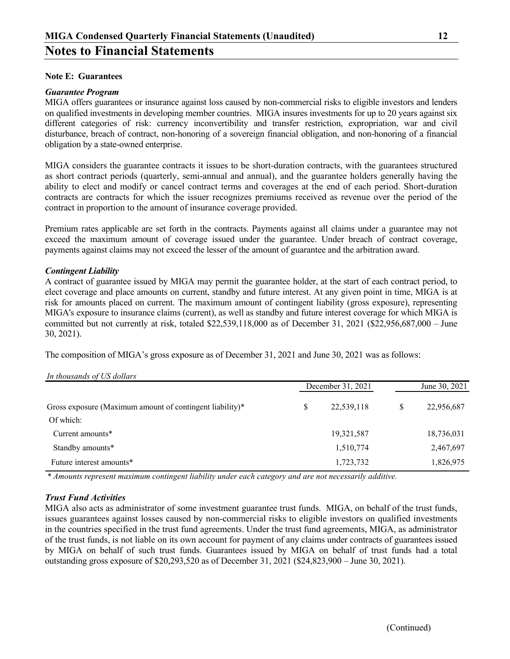#### **Note E: Guarantees**

#### *Guarantee Program*

MIGA offers guarantees or insurance against loss caused by non-commercial risks to eligible investors and lenders on qualified investments in developing member countries. MIGA insures investments for up to 20 years against six different categories of risk: currency inconvertibility and transfer restriction, expropriation, war and civil disturbance, breach of contract, non-honoring of a sovereign financial obligation, and non-honoring of a financial obligation by a state-owned enterprise.

MIGA considers the guarantee contracts it issues to be short-duration contracts, with the guarantees structured as short contract periods (quarterly, semi-annual and annual), and the guarantee holders generally having the ability to elect and modify or cancel contract terms and coverages at the end of each period. Short-duration contracts are contracts for which the issuer recognizes premiums received as revenue over the period of the contract in proportion to the amount of insurance coverage provided.

Premium rates applicable are set forth in the contracts. Payments against all claims under a guarantee may not exceed the maximum amount of coverage issued under the guarantee. Under breach of contract coverage, payments against claims may not exceed the lesser of the amount of guarantee and the arbitration award.

#### *Contingent Liability*

A contract of guarantee issued by MIGA may permit the guarantee holder, at the start of each contract period, to elect coverage and place amounts on current, standby and future interest. At any given point in time, MIGA is at risk for amounts placed on current. The maximum amount of contingent liability (gross exposure), representing MIGA's exposure to insurance claims (current), as well as standby and future interest coverage for which MIGA is committed but not currently at risk, totaled \$22,539,118,000 as of December 31, 2021 (\$22,956,687,000 – June 30, 2021).

The composition of MIGA's gross exposure as of December 31, 2021 and June 30, 2021 was as follows:

#### *In thousands of US dollars*

| In mousands of CS abuurs                                 |   |                   |   |               |  |  |
|----------------------------------------------------------|---|-------------------|---|---------------|--|--|
|                                                          |   | December 31, 2021 |   | June 30, 2021 |  |  |
| Gross exposure (Maximum amount of contingent liability)* | S | 22,539,118        | S | 22,956,687    |  |  |
| Of which:                                                |   |                   |   |               |  |  |
| Current amounts*                                         |   | 19,321,587        |   | 18,736,031    |  |  |
| Standby amounts*                                         |   | 1,510,774         |   | 2,467,697     |  |  |
| Future interest amounts*                                 |   | 1,723,732         |   | 1,826,975     |  |  |

*\* Amounts represent maximum contingent liability under each category and are not necessarily additive.*

#### *Trust Fund Activities*

MIGA also acts as administrator of some investment guarantee trust funds. MIGA, on behalf of the trust funds, issues guarantees against losses caused by non-commercial risks to eligible investors on qualified investments in the countries specified in the trust fund agreements. Under the trust fund agreements, MIGA, as administrator of the trust funds, is not liable on its own account for payment of any claims under contracts of guarantees issued by MIGA on behalf of such trust funds. Guarantees issued by MIGA on behalf of trust funds had a total outstanding gross exposure of \$20,293,520 as of December 31, 2021 (\$24,823,900 – June 30, 2021).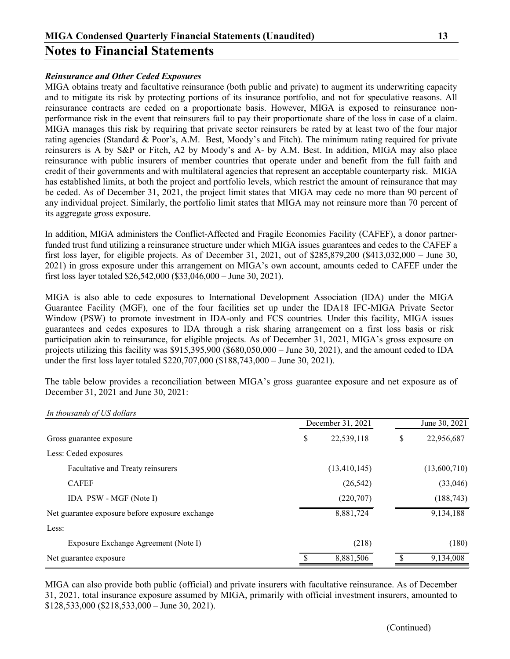#### *Reinsurance and Other Ceded Exposures*

MIGA obtains treaty and facultative reinsurance (both public and private) to augment its underwriting capacity and to mitigate its risk by protecting portions of its insurance portfolio, and not for speculative reasons. All reinsurance contracts are ceded on a proportionate basis. However, MIGA is exposed to reinsurance nonperformance risk in the event that reinsurers fail to pay their proportionate share of the loss in case of a claim. MIGA manages this risk by requiring that private sector reinsurers be rated by at least two of the four major rating agencies (Standard & Poor's, A.M. Best, Moody's and Fitch). The minimum rating required for private reinsurers is A by S&P or Fitch, A2 by Moody's and A- by A.M. Best. In addition, MIGA may also place reinsurance with public insurers of member countries that operate under and benefit from the full faith and credit of their governments and with multilateral agencies that represent an acceptable counterparty risk. MIGA has established limits, at both the project and portfolio levels, which restrict the amount of reinsurance that may be ceded. As of December 31, 2021, the project limit states that MIGA may cede no more than 90 percent of any individual project. Similarly, the portfolio limit states that MIGA may not reinsure more than 70 percent of its aggregate gross exposure.

In addition, MIGA administers the Conflict-Affected and Fragile Economies Facility (CAFEF), a donor partnerfunded trust fund utilizing a reinsurance structure under which MIGA issues guarantees and cedes to the CAFEF a first loss layer, for eligible projects. As of December 31, 2021, out of \$285,879,200 (\$413,032,000 – June 30, 2021) in gross exposure under this arrangement on MIGA's own account, amounts ceded to CAFEF under the first loss layer totaled \$26,542,000 (\$33,046,000 – June 30, 2021).

MIGA is also able to cede exposures to International Development Association (IDA) under the MIGA Guarantee Facility (MGF), one of the four facilities set up under the IDA18 IFC-MIGA Private Sector Window (PSW) to promote investment in IDA-only and FCS countries. Under this facility, MIGA issues guarantees and cedes exposures to IDA through a risk sharing arrangement on a first loss basis or risk participation akin to reinsurance, for eligible projects. As of December 31, 2021, MIGA's gross exposure on projects utilizing this facility was \$915,395,900 (\$680,050,000 – June 30, 2021), and the amount ceded to IDA under the first loss layer totaled \$220,707,000 (\$188,743,000 – June 30, 2021).

The table below provides a reconciliation between MIGA's gross guarantee exposure and net exposure as of December 31, 2021 and June 30, 2021:

|                                                 | December 31, 2021 | June 30, 2021 |              |  |
|-------------------------------------------------|-------------------|---------------|--------------|--|
| Gross guarantee exposure                        | \$<br>22,539,118  | \$            | 22,956,687   |  |
| Less: Ceded exposures                           |                   |               |              |  |
| Facultative and Treaty reinsurers               | (13, 410, 145)    |               | (13,600,710) |  |
| <b>CAFEF</b>                                    | (26, 542)         |               | (33,046)     |  |
| IDA PSW - MGF (Note I)                          | (220,707)         |               | (188, 743)   |  |
| Net guarantee exposure before exposure exchange | 8,881,724         |               | 9,134,188    |  |
| Less:                                           |                   |               |              |  |
| Exposure Exchange Agreement (Note I)            | (218)             |               | (180)        |  |
| Net guarantee exposure                          | 8,881,506         |               | 9,134,008    |  |

MIGA can also provide both public (official) and private insurers with facultative reinsurance. As of December 31, 2021, total insurance exposure assumed by MIGA, primarily with official investment insurers, amounted to \$128,533,000 (\$218,533,000 – June 30, 2021).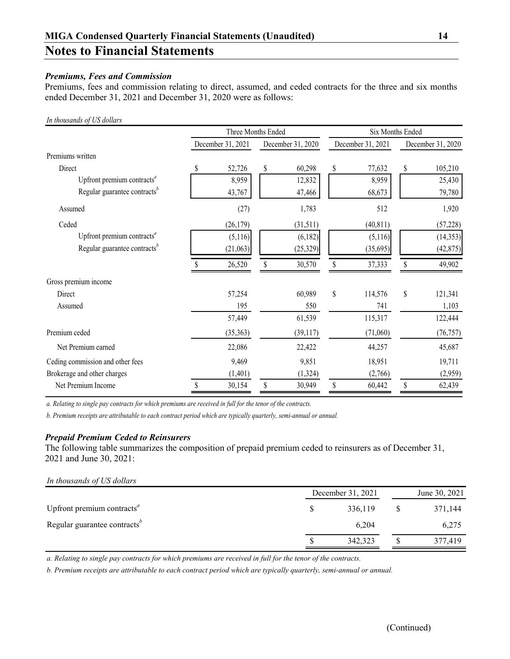#### *Premiums, Fees and Commission*

Premiums, fees and commission relating to direct, assumed, and ceded contracts for the three and six months ended December 31, 2021 and December 31, 2020 were as follows:

| In thousands of US dollars                          |    |                    |                   |                  |                   |    |                   |  |
|-----------------------------------------------------|----|--------------------|-------------------|------------------|-------------------|----|-------------------|--|
|                                                     |    | Three Months Ended |                   | Six Months Ended |                   |    |                   |  |
|                                                     |    | December 31, 2021  | December 31, 2020 |                  | December 31, 2021 |    | December 31, 2020 |  |
| Premiums written                                    |    |                    |                   |                  |                   |    |                   |  |
| Direct                                              | \$ | 52,726             | \$<br>60,298      | \$               | 77,632            | \$ | 105,210           |  |
| Upfront premium contracts <sup><math>a</math></sup> |    | 8,959              | 12,832            |                  | 8,959             |    | 25,430            |  |
| Regular guarantee contracts <sup>b</sup>            |    | 43,767             | 47,466            |                  | 68,673            |    | 79,780            |  |
| Assumed                                             |    | (27)               | 1,783             |                  | 512               |    | 1,920             |  |
| Ceded                                               |    | (26, 179)          | (31,511)          |                  | (40, 811)         |    | (57,228)          |  |
| Upfront premium contracts <sup><math>a</math></sup> |    | (5,116)            | (6,182)           |                  | (5,116)           |    | (14, 353)         |  |
| Regular guarantee contracts <sup>b</sup>            |    | (21,063)           | (25, 329)         |                  | (35,695)          |    | (42, 875)         |  |
|                                                     | S  | 26,520             | \$<br>30,570      | \$               | 37,333            | \$ | 49,902            |  |
| Gross premium income                                |    |                    |                   |                  |                   |    |                   |  |
| Direct                                              |    | 57,254             | 60,989            | $\mathbf S$      | 114,576           | \$ | 121,341           |  |
| Assumed                                             |    | 195                | 550               |                  | 741               |    | 1,103             |  |
|                                                     |    | 57,449             | 61,539            |                  | 115,317           |    | 122,444           |  |
| Premium ceded                                       |    | (35, 363)          | (39,117)          |                  | (71,060)          |    | (76, 757)         |  |
| Net Premium earned                                  |    | 22,086             | 22,422            |                  | 44,257            |    | 45,687            |  |
| Ceding commission and other fees                    |    | 9,469              | 9,851             |                  | 18,951            |    | 19,711            |  |
| Brokerage and other charges                         |    | (1,401)            | (1,324)           |                  | (2,766)           |    | (2,959)           |  |
| Net Premium Income                                  | \$ | 30,154             | \$<br>30,949      | \$               | 60,442            | \$ | 62,439            |  |

*a. Relating to single pay contracts for which premiums are received in full for the tenor of the contracts.*

*b. Premium receipts are attributable to each contract period which are typically quarterly, semi-annual or annual.*

#### *Prepaid Premium Ceded to Reinsurers*

The following table summarizes the composition of prepaid premium ceded to reinsurers as of December 31, 2021 and June 30, 2021:

| In thousands of US dollars               |                   |               |         |
|------------------------------------------|-------------------|---------------|---------|
|                                          | December 31, 2021 | June 30, 2021 |         |
| Upfront premium contracts $a$            |                   | 336,119       | 371,144 |
| Regular guarantee contracts <sup>b</sup> |                   | 6.204         | 6,275   |
|                                          |                   | 342,323       | 377,419 |

*a. Relating to single pay contracts for which premiums are received in full for the tenor of the contracts.*

*b. Premium receipts are attributable to each contract period which are typically quarterly, semi-annual or annual.*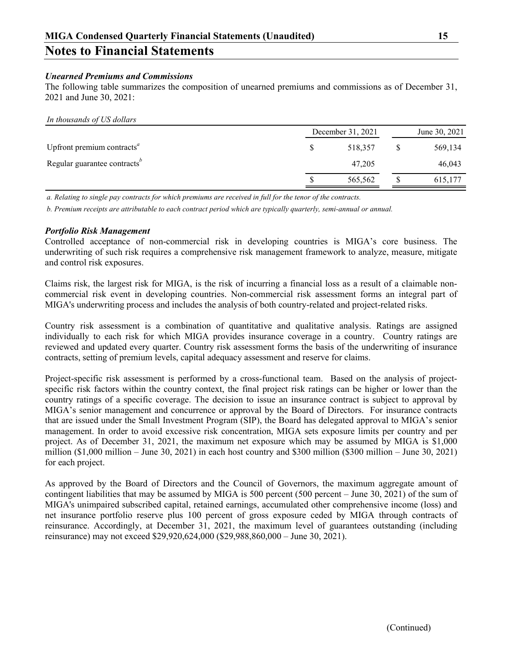#### *Unearned Premiums and Commissions*

The following table summarizes the composition of unearned premiums and commissions as of December 31, 2021 and June 30, 2021:

| In thousands of US dollars                          |                   |  |         |  |
|-----------------------------------------------------|-------------------|--|---------|--|
|                                                     | December 31, 2021 |  |         |  |
| Upfront premium contracts <sup><math>a</math></sup> | 518,357           |  | 569,134 |  |
| Regular guarantee contracts <sup>b</sup>            | 47.205            |  | 46,043  |  |
|                                                     | 565,562           |  | 615,177 |  |
|                                                     |                   |  |         |  |

*a. Relating to single pay contracts for which premiums are received in full for the tenor of the contracts.*

*b. Premium receipts are attributable to each contract period which are typically quarterly, semi-annual or annual.*

#### *Portfolio Risk Management*

Controlled acceptance of non-commercial risk in developing countries is MIGA's core business. The underwriting of such risk requires a comprehensive risk management framework to analyze, measure, mitigate and control risk exposures.

Claims risk, the largest risk for MIGA, is the risk of incurring a financial loss as a result of a claimable noncommercial risk event in developing countries. Non-commercial risk assessment forms an integral part of MIGA's underwriting process and includes the analysis of both country-related and project-related risks.

Country risk assessment is a combination of quantitative and qualitative analysis. Ratings are assigned individually to each risk for which MIGA provides insurance coverage in a country. Country ratings are reviewed and updated every quarter. Country risk assessment forms the basis of the underwriting of insurance contracts, setting of premium levels, capital adequacy assessment and reserve for claims.

Project-specific risk assessment is performed by a cross-functional team. Based on the analysis of projectspecific risk factors within the country context, the final project risk ratings can be higher or lower than the country ratings of a specific coverage. The decision to issue an insurance contract is subject to approval by MIGA's senior management and concurrence or approval by the Board of Directors. For insurance contracts that are issued under the Small Investment Program (SIP), the Board has delegated approval to MIGA's senior management. In order to avoid excessive risk concentration, MIGA sets exposure limits per country and per project. As of December 31, 2021, the maximum net exposure which may be assumed by MIGA is \$1,000 million (\$1,000 million – June 30, 2021) in each host country and \$300 million (\$300 million – June 30, 2021) for each project.

As approved by the Board of Directors and the Council of Governors, the maximum aggregate amount of contingent liabilities that may be assumed by MIGA is 500 percent (500 percent – June 30, 2021) of the sum of MIGA's unimpaired subscribed capital, retained earnings, accumulated other comprehensive income (loss) and net insurance portfolio reserve plus 100 percent of gross exposure ceded by MIGA through contracts of reinsurance. Accordingly, at December 31, 2021, the maximum level of guarantees outstanding (including reinsurance) may not exceed \$29,920,624,000 (\$29,988,860,000 – June 30, 2021).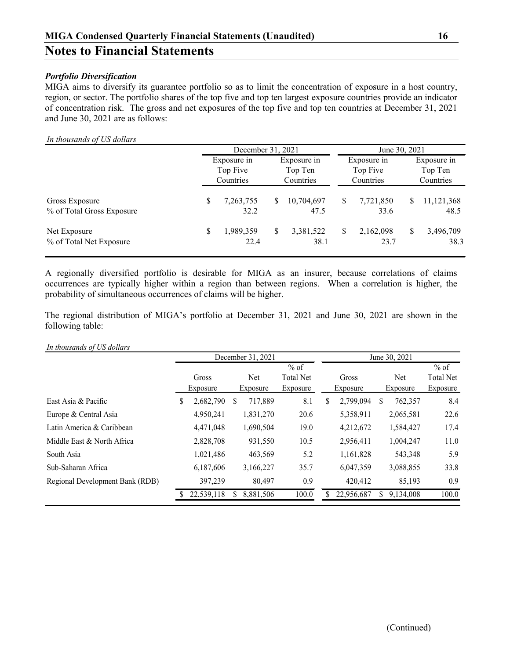#### *Portfolio Diversification*

MIGA aims to diversify its guarantee portfolio so as to limit the concentration of exposure in a host country, region, or sector. The portfolio shares of the top five and top ten largest exposure countries provide an indicator of concentration risk. The gross and net exposures of the top five and top ten countries at December 31, 2021 and June 30, 2021 are as follows:

#### *In thousands of US dollars*

|                                             | December 31, 2021   |                   |           |                    |           | June 30, 2021     |             |                    |  |  |
|---------------------------------------------|---------------------|-------------------|-----------|--------------------|-----------|-------------------|-------------|--------------------|--|--|
|                                             |                     | Exposure in       |           | Exposure in        |           | Exposure in       | Exposure in |                    |  |  |
|                                             | Top Five            |                   |           | Top Ten            |           | Top Five          | Top Ten     |                    |  |  |
|                                             | Countries           |                   | Countries |                    | Countries |                   | Countries   |                    |  |  |
| Gross Exposure<br>% of Total Gross Exposure | 7, 263, 755<br>32.2 |                   | S.        | 10,704,697<br>47.5 |           | 7,721,850<br>33.6 | S.          | 11,121,368<br>48.5 |  |  |
| Net Exposure<br>% of Total Net Exposure     |                     | 1,989,359<br>22.4 | S.        | 3,381,522<br>38.1  | S         | 2,162,098<br>23.7 |             | 3,496,709<br>38.3  |  |  |

A regionally diversified portfolio is desirable for MIGA as an insurer, because correlations of claims occurrences are typically higher within a region than between regions. When a correlation is higher, the probability of simultaneous occurrences of claims will be higher.

The regional distribution of MIGA's portfolio at December 31, 2021 and June 30, 2021 are shown in the following table:

#### *In thousands of US dollars*

|                                 |   |            |   | December 31, 2021 |                  | June 30, 2021 |            |     |           |           |  |  |
|---------------------------------|---|------------|---|-------------------|------------------|---------------|------------|-----|-----------|-----------|--|--|
|                                 |   |            |   |                   | $%$ of           |               |            |     |           | $%$ of    |  |  |
|                                 |   | Gross      |   | Net               | <b>Total Net</b> |               | Gross      |     | Net       | Total Net |  |  |
|                                 |   | Exposure   |   | Exposure          | Exposure         |               | Exposure   |     | Exposure  | Exposure  |  |  |
| East Asia & Pacific             | S | 2,682,790  | S | 717,889           | 8.1              | S             | 2,799,094  | S   | 762,357   | 8.4       |  |  |
| Europe & Central Asia           |   | 4,950,241  |   | 1,831,270         | 20.6             |               | 5,358,911  |     | 2,065,581 | 22.6      |  |  |
| Latin America & Caribbean       |   | 4,471,048  |   | 1,690,504         | 19.0             |               | 4,212,672  |     | 1,584,427 | 17.4      |  |  |
| Middle East & North Africa      |   | 2,828,708  |   | 931,550           | 10.5             |               | 2,956,411  |     | 1,004,247 | 11.0      |  |  |
| South Asia                      |   | 1,021,486  |   | 463,569           | 5.2              |               | 1,161,828  |     | 543,348   | 5.9       |  |  |
| Sub-Saharan Africa              |   | 6,187,606  |   | 3,166,227         | 35.7             |               | 6.047.359  |     | 3,088,855 | 33.8      |  |  |
| Regional Development Bank (RDB) |   | 397,239    |   | 80.497            | 0.9              |               | 420,412    |     | 85.193    | 0.9       |  |  |
|                                 |   | 22,539,118 |   | 8,881,506         | 100.0            |               | 22,956,687 | \$. | 9,134,008 | 100.0     |  |  |
|                                 |   |            |   |                   |                  |               |            |     |           |           |  |  |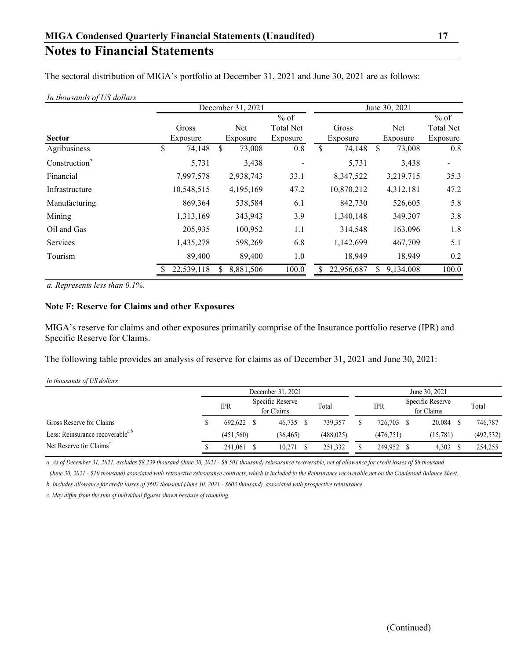|                           |            | December 31, 2021      |                  | June 30, 2021        |                |                  |  |  |  |  |
|---------------------------|------------|------------------------|------------------|----------------------|----------------|------------------|--|--|--|--|
|                           |            |                        | $%$ of           |                      |                | $%$ of           |  |  |  |  |
|                           | Gross      | Net                    | <b>Total Net</b> | Gross                | Net            | <b>Total Net</b> |  |  |  |  |
| <b>Sector</b>             | Exposure   | Exposure               | Exposure         | Exposure<br>Exposure |                | Exposure         |  |  |  |  |
| Agribusiness              | S          | \$<br>74,148<br>73,008 | 0.8              | \$<br>74,148         | S<br>73,008    | 0.8              |  |  |  |  |
| Construction <sup>a</sup> |            | 5,731<br>3,438         |                  | 5,731                | 3,438          |                  |  |  |  |  |
| Financial                 | 7,997,578  | 2,938,743              | 33.1             | 8,347,522            | 3,219,715      | 35.3             |  |  |  |  |
| Infrastructure            | 10,548,515 | 4,195,169              | 47.2             | 10,870,212           | 4,312,181      | 47.2             |  |  |  |  |
| Manufacturing             | 869,364    | 538,584                | 6.1              | 842,730              | 526,605        | 5.8              |  |  |  |  |
| Mining                    | 1,313,169  | 343,943                | 3.9              | 1,340,148            | 349,307        | 3.8              |  |  |  |  |
| Oil and Gas               | 205,935    | 100,952                | 1.1              | 314,548              | 163,096        | 1.8              |  |  |  |  |
| Services                  | 1,435,278  | 598,269                | 6.8              | 1,142,699            | 467,709        | 5.1              |  |  |  |  |
| Tourism                   |            | 89,400<br>89,400       | 1.0              | 18,949               | 18,949         | 0.2              |  |  |  |  |
|                           | 22,539,118 | 8,881,506<br>S         | 100.0            | 22,956,687           | 9,134,008<br>S | 100.0            |  |  |  |  |

The sectoral distribution of MIGA's portfolio at December 31, 2021 and June 30, 2021 are as follows:

#### *In thousands of US dollars*

*a. Represents less than 0.1%.*

#### **Note F: Reserve for Claims and other Exposures**

MIGA's reserve for claims and other exposures primarily comprise of the Insurance portfolio reserve (IPR) and Specific Reserve for Claims.

The following table provides an analysis of reserve for claims as of December 31, 2021 and June 30, 2021:

|                                                           |     |           |  | December 31, 2021              |            | June 30, 2021 |            |                                |           |            |  |
|-----------------------------------------------------------|-----|-----------|--|--------------------------------|------------|---------------|------------|--------------------------------|-----------|------------|--|
|                                                           | IPR |           |  | Specific Reserve<br>for Claims | Total      | <b>IPR</b>    |            | Specific Reserve<br>for Claims |           | Total      |  |
| Gross Reserve for Claims                                  |     | 692,622   |  | $46,735$ \$                    | 739,357    |               | 726,703    |                                | 20,084    | 746,787    |  |
| Less: Reinsurance recoverable <sup><math>a,b</math></sup> |     | (451.560) |  | (36, 465)                      | (488, 025) |               | (476, 751) |                                | (15, 781) | (492, 532) |  |
| Net Reserve for Claims <sup>c</sup>                       |     | 241,061   |  | 10.271                         | 251.332    |               | 249,952    |                                | 4.303     | 254,255    |  |

*a. As of December 31, 2021, excludes \$8,239 thousand (June 30, 2021 - \$8,501 thousand) reinsurance recoverable, net of allowance for credit losses of \$8 thousand*

 *(June 30, 2021 - \$10 thousand) associated with retroactive reinsurance contracts, which is included in the Reinsurance recoverable,net on the Condensed Balance Sheet.*

*b. Includes allowance for credit losses of \$602 thousand (June 30, 2021 - \$603 thousand), associated with prospective reinsurance.*

*c. May differ from the sum of individual figures shown because of rounding.*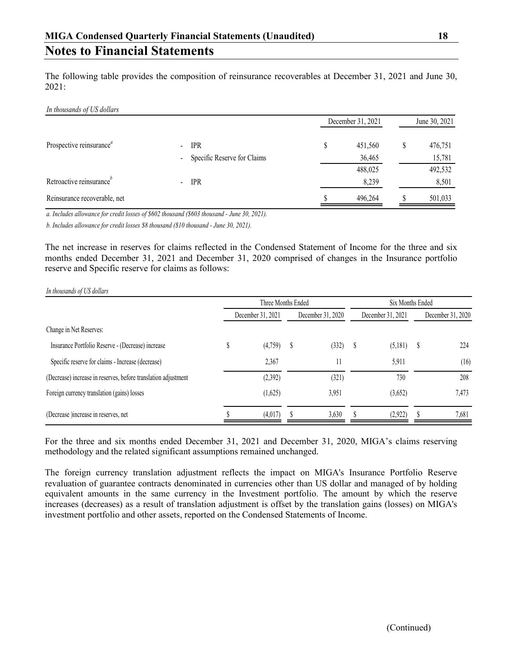The following table provides the composition of reinsurance recoverables at December 31, 2021 and June 30, 2021:

#### *In thousands of US dollars*

|                                      |                                               | December 31, 2021 | June 30, 2021 |  |
|--------------------------------------|-----------------------------------------------|-------------------|---------------|--|
| Prospective reinsurance <sup>a</sup> | <b>IPR</b><br>$\sim$                          | 451,560           | 476,751       |  |
|                                      | Specific Reserve for Claims<br>$\blacksquare$ | 36,465            | 15,781        |  |
|                                      |                                               | 488,025           | 492,532       |  |
| Retroactive reinsurance <sup>b</sup> | IPR                                           | 8,239             | 8,501         |  |
| Reinsurance recoverable, net         |                                               | 496.264           | 501,033       |  |

*a. Includes allowance for credit losses of \$602 thousand (\$603 thousand - June 30, 2021).*

*b. Includes allowance for credit losses \$8 thousand (\$10 thousand - June 30, 2021).*

The net increase in reserves for claims reflected in the Condensed Statement of Income for the three and six months ended December 31, 2021 and December 31, 2020 comprised of changes in the Insurance portfolio reserve and Specific reserve for claims as follows:

#### *In thousands of US dollars*

|                                                                |                   | Three Months Ended |    | Six Months Ended  |   |                   |   |                   |
|----------------------------------------------------------------|-------------------|--------------------|----|-------------------|---|-------------------|---|-------------------|
|                                                                | December 31, 2021 |                    |    | December 31, 2020 |   | December 31, 2021 |   | December 31, 2020 |
| Change in Net Reserves:                                        |                   |                    |    |                   |   |                   |   |                   |
| Insurance Portfolio Reserve - (Decrease) increase              |                   | (4,759)            | S  | (332)             | S | (5,181)           | S | 224               |
| Specific reserve for claims - Increase (decrease)              |                   | 2,367              |    | 11                |   | 5,911             |   | (16)              |
| (Decrease) increase in reserves, before translation adjustment |                   | (2,392)            |    | (321)             |   | 730               |   | 208               |
| Foreign currency translation (gains) losses                    |                   | (1,625)            |    | 3,951             |   | (3,652)           |   | 7,473             |
| (Decrease ) increase in reserves, net                          |                   | (4,017)            | J. | 3,630             | S | (2,922)           | У | 7,681             |

For the three and six months ended December 31, 2021 and December 31, 2020, MIGA's claims reserving methodology and the related significant assumptions remained unchanged.

The foreign currency translation adjustment reflects the impact on MIGA's Insurance Portfolio Reserve revaluation of guarantee contracts denominated in currencies other than US dollar and managed of by holding equivalent amounts in the same currency in the Investment portfolio. The amount by which the reserve increases (decreases) as a result of translation adjustment is offset by the translation gains (losses) on MIGA's investment portfolio and other assets, reported on the Condensed Statements of Income.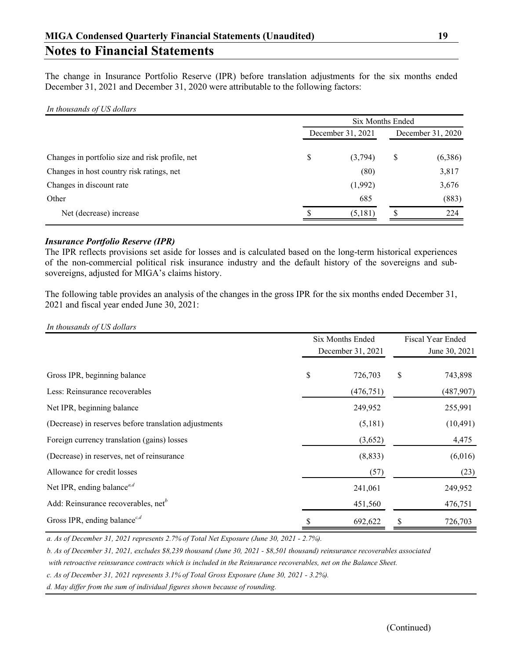The change in Insurance Portfolio Reserve (IPR) before translation adjustments for the six months ended December 31, 2021 and December 31, 2020 were attributable to the following factors:

*In thousands of US dollars*

|                                                 | Six Months Ended  |    |                   |  |  |  |  |  |  |
|-------------------------------------------------|-------------------|----|-------------------|--|--|--|--|--|--|
|                                                 | December 31, 2021 |    | December 31, 2020 |  |  |  |  |  |  |
| Changes in portfolio size and risk profile, net | \$<br>(3,794)     | \$ | (6,386)           |  |  |  |  |  |  |
| Changes in host country risk ratings, net       | (80)              |    | 3,817             |  |  |  |  |  |  |
| Changes in discount rate                        | (1,992)           |    | 3,676             |  |  |  |  |  |  |
| Other                                           | 685               |    | (883)             |  |  |  |  |  |  |
| Net (decrease) increase                         | (5,181)           | S  | 224               |  |  |  |  |  |  |

#### *Insurance Portfolio Reserve (IPR)*

The IPR reflects provisions set aside for losses and is calculated based on the long-term historical experiences of the non-commercial political risk insurance industry and the default history of the sovereigns and subsovereigns, adjusted for MIGA's claims history.

The following table provides an analysis of the changes in the gross IPR for the six months ended December 31, 2021 and fiscal year ended June 30, 2021:

*In thousands of US dollars*

|                                                       | Six Months Ended  | Fiscal Year Ended |
|-------------------------------------------------------|-------------------|-------------------|
|                                                       | December 31, 2021 | June 30, 2021     |
| Gross IPR, beginning balance                          | \$<br>726,703     | \$<br>743,898     |
| Less: Reinsurance recoverables                        | (476, 751)        | (487,907)         |
| Net IPR, beginning balance                            | 249,952           | 255,991           |
| (Decrease) in reserves before translation adjustments | (5,181)           | (10, 491)         |
| Foreign currency translation (gains) losses           | (3,652)           | 4,475             |
| (Decrease) in reserves, net of reinsurance            | (8, 833)          | (6,016)           |
| Allowance for credit losses                           | (57)              | (23)              |
| Net IPR, ending balance <sup><i>a,d</i></sup>         | 241,061           | 249,952           |
| Add: Reinsurance recoverables, net <sup>b</sup>       | 451,560           | 476,751           |
| Gross IPR, ending balance <sup>c,d</sup>              | 692,622           | 726,703           |

*a. As of December 31, 2021 represents 2.7% of Total Net Exposure (June 30, 2021 - 2.7%).*

*b. As of December 31, 2021, excludes \$8,239 thousand (June 30, 2021 - \$8,501 thousand) reinsurance recoverables associated*

 *with retroactive reinsurance contracts which is included in the Reinsurance recoverables, net on the Balance Sheet.*

*c. As of December 31, 2021 represents 3.1% of Total Gross Exposure (June 30, 2021 - 3.2%).*

*d. May differ from the sum of individual figures shown because of rounding.*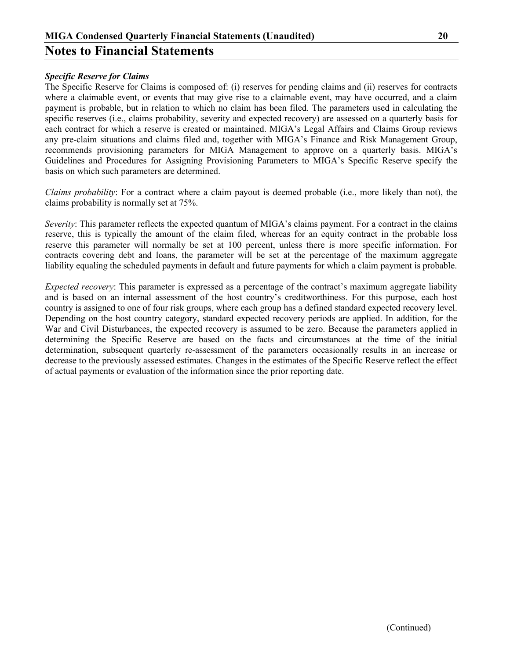#### *Specific Reserve for Claims*

The Specific Reserve for Claims is composed of: (i) reserves for pending claims and (ii) reserves for contracts where a claimable event, or events that may give rise to a claimable event, may have occurred, and a claim payment is probable, but in relation to which no claim has been filed. The parameters used in calculating the specific reserves (i.e., claims probability, severity and expected recovery) are assessed on a quarterly basis for each contract for which a reserve is created or maintained. MIGA's Legal Affairs and Claims Group reviews any pre-claim situations and claims filed and, together with MIGA's Finance and Risk Management Group, recommends provisioning parameters for MIGA Management to approve on a quarterly basis. MIGA's Guidelines and Procedures for Assigning Provisioning Parameters to MIGA's Specific Reserve specify the basis on which such parameters are determined.

*Claims probability*: For a contract where a claim payout is deemed probable (i.e., more likely than not), the claims probability is normally set at 75%.

*Severity*: This parameter reflects the expected quantum of MIGA's claims payment. For a contract in the claims reserve, this is typically the amount of the claim filed, whereas for an equity contract in the probable loss reserve this parameter will normally be set at 100 percent, unless there is more specific information. For contracts covering debt and loans, the parameter will be set at the percentage of the maximum aggregate liability equaling the scheduled payments in default and future payments for which a claim payment is probable.

*Expected recovery*: This parameter is expressed as a percentage of the contract's maximum aggregate liability and is based on an internal assessment of the host country's creditworthiness. For this purpose, each host country is assigned to one of four risk groups, where each group has a defined standard expected recovery level. Depending on the host country category, standard expected recovery periods are applied. In addition, for the War and Civil Disturbances, the expected recovery is assumed to be zero. Because the parameters applied in determining the Specific Reserve are based on the facts and circumstances at the time of the initial determination, subsequent quarterly re-assessment of the parameters occasionally results in an increase or decrease to the previously assessed estimates. Changes in the estimates of the Specific Reserve reflect the effect of actual payments or evaluation of the information since the prior reporting date.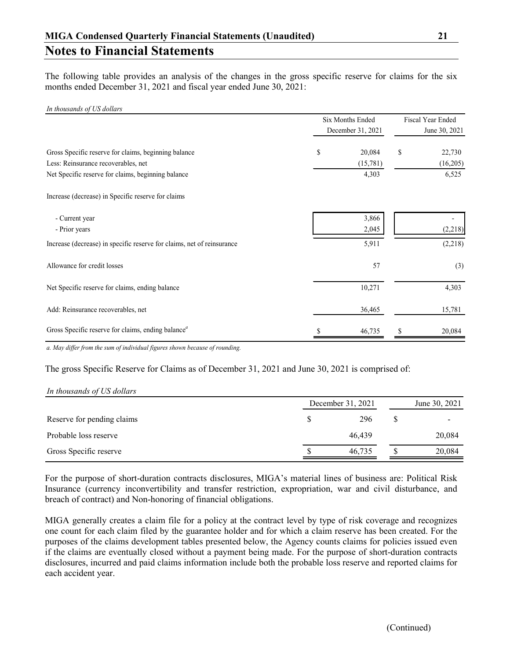The following table provides an analysis of the changes in the gross specific reserve for claims for the six months ended December 31, 2021 and fiscal year ended June 30, 2021:

*In thousands of US dollars*

|                                                                        | Six Months Ended<br>December 31, 2021 | Fiscal Year Ended<br>June 30, 2021 |    |          |
|------------------------------------------------------------------------|---------------------------------------|------------------------------------|----|----------|
| Gross Specific reserve for claims, beginning balance                   | \$                                    | 20,084                             | \$ | 22,730   |
| Less: Reinsurance recoverables, net                                    |                                       | (15,781)                           |    | (16,205) |
| Net Specific reserve for claims, beginning balance                     |                                       | 4,303                              |    | 6,525    |
| Increase (decrease) in Specific reserve for claims                     |                                       |                                    |    |          |
| - Current year                                                         |                                       | 3,866                              |    |          |
| - Prior years                                                          |                                       | 2,045                              |    | (2,218)  |
| Increase (decrease) in specific reserve for claims, net of reinsurance |                                       | 5,911                              |    | (2,218)  |
| Allowance for credit losses                                            |                                       | 57                                 |    | (3)      |
| Net Specific reserve for claims, ending balance                        |                                       | 10,271                             |    | 4,303    |
| Add: Reinsurance recoverables, net                                     |                                       | 36,465                             |    | 15,781   |
| Gross Specific reserve for claims, ending balance <sup>a</sup>         |                                       | 46,735                             |    | 20,084   |

*a. May differ from the sum of individual figures shown because of rounding.*

The gross Specific Reserve for Claims as of December 31, 2021 and June 30, 2021 is comprised of:

*In thousands of US dollars*

|                            | December 31, 2021 |        |  |        |  |
|----------------------------|-------------------|--------|--|--------|--|
| Reserve for pending claims |                   | 296    |  |        |  |
| Probable loss reserve      |                   | 46.439 |  | 20,084 |  |
| Gross Specific reserve     |                   | 46.735 |  | 20,084 |  |

For the purpose of short-duration contracts disclosures, MIGA's material lines of business are: Political Risk Insurance (currency inconvertibility and transfer restriction, expropriation, war and civil disturbance, and breach of contract) and Non-honoring of financial obligations.

MIGA generally creates a claim file for a policy at the contract level by type of risk coverage and recognizes one count for each claim filed by the guarantee holder and for which a claim reserve has been created. For the purposes of the claims development tables presented below, the Agency counts claims for policies issued even if the claims are eventually closed without a payment being made. For the purpose of short-duration contracts disclosures, incurred and paid claims information include both the probable loss reserve and reported claims for each accident year.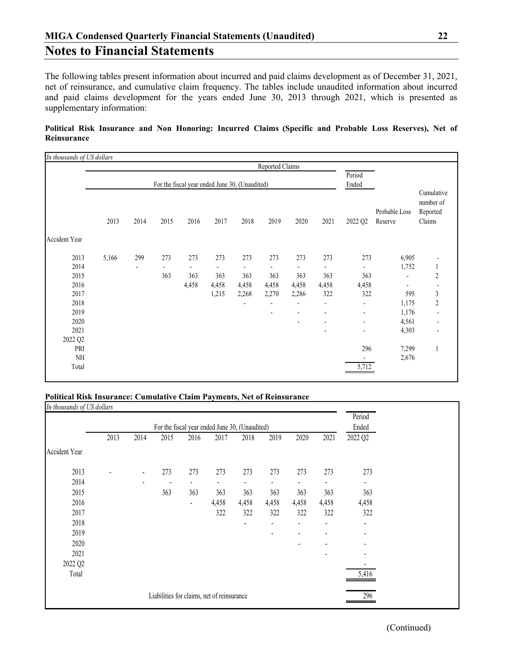The following tables present information about incurred and paid claims development as of December 31, 2021, net of reinsurance, and cumulative claim frequency. The tables include unaudited information about incurred and paid claims development for the years ended June 30, 2013 through 2021, which is presented as supplementary information:

#### **Political Risk Insurance and Non Honoring: Incurred Claims (Specific and Probable Loss Reserves), Net of Reinsurance**

| In thousands of US dollars |       |                          |                          |                                                |                          |                          |                          |                          |                          |                          |                          |                                 |
|----------------------------|-------|--------------------------|--------------------------|------------------------------------------------|--------------------------|--------------------------|--------------------------|--------------------------|--------------------------|--------------------------|--------------------------|---------------------------------|
|                            |       |                          |                          |                                                |                          |                          | Reported Claims          |                          |                          |                          |                          |                                 |
|                            |       |                          |                          |                                                |                          |                          |                          |                          |                          | Period                   |                          |                                 |
|                            |       |                          |                          | For the fiscal year ended June 30, (Unaudited) |                          |                          |                          |                          |                          | Ended                    |                          | Cumulative                      |
|                            | 2013  | 2014                     | 2015                     | 2016                                           | 2017                     | 2018                     | 2019                     | 2020                     | 2021                     | 2022 Q2                  | Probable Loss<br>Reserve | number of<br>Reported<br>Claims |
| Accident Year              |       |                          |                          |                                                |                          |                          |                          |                          |                          |                          |                          |                                 |
| 2013                       | 5,166 | 299                      | 273                      | 273                                            | 273                      | 273                      | 273                      | 273                      | 273                      | 273                      | 6,905                    | $\overline{\phantom{m}}$        |
| 2014                       |       | $\overline{\phantom{a}}$ | $\overline{\phantom{a}}$ | $\overline{\phantom{a}}$                       | $\overline{\phantom{a}}$ | $\overline{\phantom{a}}$ | $\overline{\phantom{a}}$ | $\overline{\phantom{a}}$ | $\overline{\phantom{a}}$ | $\overline{\phantom{m}}$ | 1,752                    | $\mathbf{1}$                    |
| 2015                       |       |                          | 363                      | 363                                            | 363                      | 363                      | 363                      | 363                      | 363                      | 363                      | $\overline{\phantom{a}}$ | $\sqrt{2}$                      |
| 2016                       |       |                          |                          | 4,458                                          | 4,458                    | 4,458                    | 4,458                    | 4,458                    | 4,458                    | 4,458                    | $\overline{\phantom{a}}$ | $\overline{\phantom{m}}$        |
| 2017                       |       |                          |                          |                                                | 1,215                    | 2,268                    | 2,270                    | 2,286                    | 322                      | 322                      | 595                      | $\sqrt{3}$                      |
| 2018                       |       |                          |                          |                                                |                          | $\overline{a}$           | $\overline{a}$           |                          | $\overline{\phantom{a}}$ | $\overline{a}$           | 1,175                    | $\sqrt{2}$                      |
| 2019                       |       |                          |                          |                                                |                          |                          | $\overline{\phantom{0}}$ | $\overline{\phantom{a}}$ | $\overline{\phantom{a}}$ | $\overline{\phantom{m}}$ | 1,176                    | $\overline{\phantom{a}}$        |
| 2020                       |       |                          |                          |                                                |                          |                          |                          |                          | $\overline{\phantom{a}}$ | $\overline{\phantom{m}}$ | 4,561                    | $\overline{\phantom{a}}$        |
| 2021                       |       |                          |                          |                                                |                          |                          |                          |                          | $\blacksquare$           | $\overline{\phantom{m}}$ | 4,303                    | $\overline{\phantom{a}}$        |
| 2022 Q2                    |       |                          |                          |                                                |                          |                          |                          |                          |                          |                          |                          |                                 |
| PRI                        |       |                          |                          |                                                |                          |                          |                          |                          |                          | 296                      | 7,299                    | $\mathbf{1}$                    |
| $\rm NH$                   |       |                          |                          |                                                |                          |                          |                          |                          |                          | $\overline{\phantom{a}}$ | 2,676                    |                                 |
| Total                      |       |                          |                          |                                                |                          |                          |                          |                          |                          | 5,712                    |                          |                                 |

#### **Political Risk Insurance: Cumulative Claim Payments, Net of Reinsurance**

| In thousands of US dollars |      |                |                                                |                |                |                |                |                |                | Period         |
|----------------------------|------|----------------|------------------------------------------------|----------------|----------------|----------------|----------------|----------------|----------------|----------------|
|                            |      |                | For the fiscal year ended June 30, (Unaudited) |                |                |                |                |                |                | Ended          |
|                            | 2013 | 2014           | 2015                                           | 2016           | 2017           | 2018           | 2019           | 2020           | 2021           | 2022 Q2        |
| Accident Year              |      |                |                                                |                |                |                |                |                |                |                |
| 2013                       | ۰    | $\blacksquare$ | 273                                            | 273            | 273            | 273            | 273            | 273            | 273            | 273            |
| 2014                       |      | $\blacksquare$ |                                                | $\blacksquare$ | $\blacksquare$ | $\blacksquare$ | $\blacksquare$ | $\blacksquare$ | $\blacksquare$ | $\blacksquare$ |
| 2015                       |      |                | 363                                            | 363            | 363            | 363            | 363            | 363            | 363            | 363            |
| 2016                       |      |                |                                                | $\blacksquare$ | 4,458          | 4,458          | 4,458          | 4,458          | 4,458          | 4,458          |
| 2017                       |      |                |                                                |                | 322            | 322            | 322            | 322            | 322            | 322            |
| 2018                       |      |                |                                                |                |                | $\blacksquare$ | ۰              | $\blacksquare$ | $\blacksquare$ | $\blacksquare$ |
| 2019                       |      |                |                                                |                |                |                |                |                |                | $\blacksquare$ |
| 2020                       |      |                |                                                |                |                |                |                |                |                | $\blacksquare$ |
| 2021                       |      |                |                                                |                |                |                |                |                |                |                |
| 2022 Q2                    |      |                |                                                |                |                |                |                |                |                |                |
| Total                      |      |                |                                                |                |                |                |                |                |                | 5,416          |
|                            |      |                | Liabilities for claims, net of reinsurance     |                |                |                |                |                |                | 296            |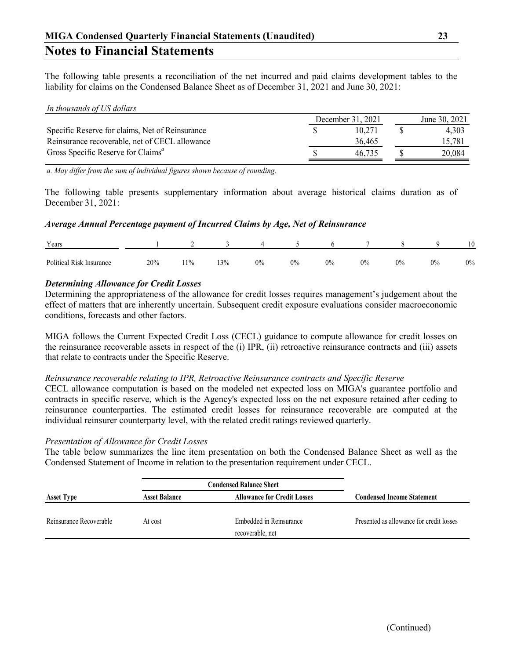The following table presents a reconciliation of the net incurred and paid claims development tables to the liability for claims on the Condensed Balance Sheet as of December 31, 2021 and June 30, 2021:

#### *In thousands of US dollars*

|                                                 | December 31, 2021 | June 30, 2021 |        |
|-------------------------------------------------|-------------------|---------------|--------|
| Specific Reserve for claims, Net of Reinsurance |                   | 10.271        | 4.303  |
| Reinsurance recoverable, net of CECL allowance  |                   | 36.465        | 15.781 |
| Gross Specific Reserve for Claims <sup>a</sup>  |                   | 46.735        | 20.084 |

*a. May differ from the sum of individual figures shown because of rounding.*

The following table presents supplementary information about average historical claims duration as of December 31, 2021:

#### *Average Annual Percentage payment of Incurred Claims by Age, Net of Reinsurance*

| Years                           |     | $\sim$<br><b>_</b> |     |       |    |       |       |       |    | 10    |
|---------------------------------|-----|--------------------|-----|-------|----|-------|-------|-------|----|-------|
| <b>Political Risk Insurance</b> | 20% | 10/6               | 13% | $0\%$ | 0% | $0\%$ | $0\%$ | $0\%$ | 0% | $0\%$ |

#### *Determining Allowance for Credit Losses*

Determining the appropriateness of the allowance for credit losses requires management's judgement about the effect of matters that are inherently uncertain. Subsequent credit exposure evaluations consider macroeconomic conditions, forecasts and other factors.

MIGA follows the Current Expected Credit Loss (CECL) guidance to compute allowance for credit losses on the reinsurance recoverable assets in respect of the (i) IPR, (ii) retroactive reinsurance contracts and (iii) assets that relate to contracts under the Specific Reserve.

#### *Reinsurance recoverable relating to IPR, Retroactive Reinsurance contracts and Specific Reserve*

CECL allowance computation is based on the modeled net expected loss on MIGA's guarantee portfolio and contracts in specific reserve, which is the Agency's expected loss on the net exposure retained after ceding to reinsurance counterparties. The estimated credit losses for reinsurance recoverable are computed at the individual reinsurer counterparty level, with the related credit ratings reviewed quarterly.

#### *Presentation of Allowance for Credit Losses*

The table below summarizes the line item presentation on both the Condensed Balance Sheet as well as the Condensed Statement of Income in relation to the presentation requirement under CECL.

|                         | <b>Condensed Balance Sheet</b> |                                             |                                          |
|-------------------------|--------------------------------|---------------------------------------------|------------------------------------------|
| <b>Asset Type</b>       | <b>Asset Balance</b>           | <b>Allowance for Credit Losses</b>          | <b>Condensed Income Statement</b>        |
| Reinsurance Recoverable | At cost                        | Embedded in Reinsurance<br>recoverable, net | Presented as allowance for credit losses |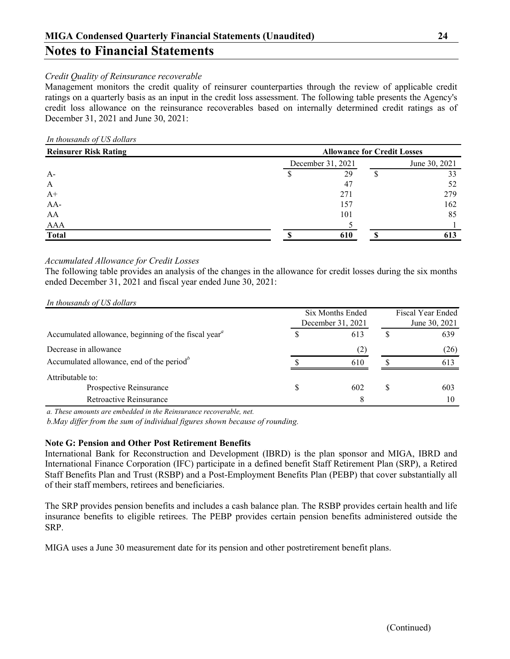#### *Credit Quality of Reinsurance recoverable*

Management monitors the credit quality of reinsurer counterparties through the review of applicable credit ratings on a quarterly basis as an input in the credit loss assessment. The following table presents the Agency's credit loss allowance on the reinsurance recoverables based on internally determined credit ratings as of December 31, 2021 and June 30, 2021:

| <b>Reinsurer Risk Rating</b> | <b>Allowance for Credit Losses</b> |                   |               |     |  |  |  |  |  |  |
|------------------------------|------------------------------------|-------------------|---------------|-----|--|--|--|--|--|--|
|                              |                                    | December 31, 2021 | June 30, 2021 |     |  |  |  |  |  |  |
| $A-$                         |                                    | 29                |               | 33  |  |  |  |  |  |  |
| A                            |                                    | -47               |               | 52  |  |  |  |  |  |  |
| $A^+$                        |                                    | 271               |               | 279 |  |  |  |  |  |  |
| AA-                          |                                    | 157               |               | 162 |  |  |  |  |  |  |
| AA                           |                                    | 101               |               | 85  |  |  |  |  |  |  |
| AAA                          |                                    |                   |               |     |  |  |  |  |  |  |
| <b>Total</b>                 |                                    | 610               |               | 613 |  |  |  |  |  |  |

#### *Accumulated Allowance for Credit Losses*

The following table provides an analysis of the changes in the allowance for credit losses during the six months ended December 31, 2021 and fiscal year ended June 30, 2021:

*In thousands of US dollars*

|                                                                         | Six Months Ended  | Fiscal Year Ended |  |  |
|-------------------------------------------------------------------------|-------------------|-------------------|--|--|
|                                                                         | December 31, 2021 | June 30, 2021     |  |  |
| Accumulated allowance, beginning of the fiscal year <sup><i>a</i></sup> | 613               | 639               |  |  |
| Decrease in allowance                                                   | (2)               | (26)              |  |  |
| Accumulated allowance, end of the period <sup>b</sup>                   | 610               | 613               |  |  |
| Attributable to:                                                        |                   |                   |  |  |
| Prospective Reinsurance                                                 | 602               | 603               |  |  |
| Retroactive Reinsurance                                                 |                   | 10                |  |  |

*a. These amounts are embedded in the Reinsurance recoverable, net.*

*b.May differ from the sum of individual figures shown because of rounding.*

#### **Note G: Pension and Other Post Retirement Benefits**

International Bank for Reconstruction and Development (IBRD) is the plan sponsor and MIGA, IBRD and International Finance Corporation (IFC) participate in a defined benefit Staff Retirement Plan (SRP), a Retired Staff Benefits Plan and Trust (RSBP) and a Post-Employment Benefits Plan (PEBP) that cover substantially all of their staff members, retirees and beneficiaries.

The SRP provides pension benefits and includes a cash balance plan. The RSBP provides certain health and life insurance benefits to eligible retirees. The PEBP provides certain pension benefits administered outside the SRP.

MIGA uses a June 30 measurement date for its pension and other postretirement benefit plans.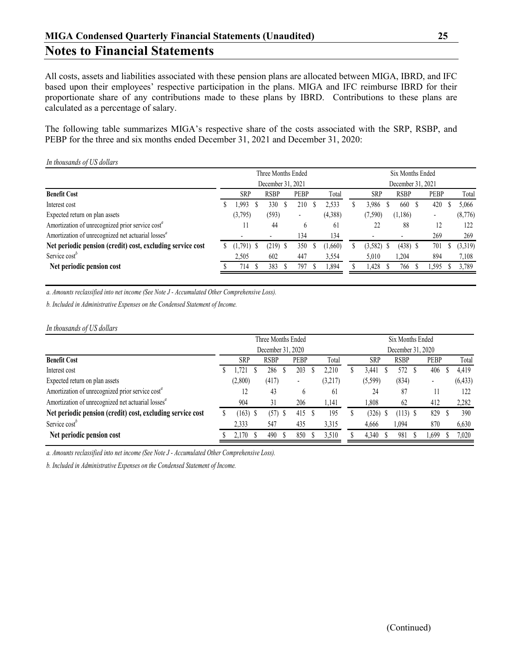All costs, assets and liabilities associated with these pension plans are allocated between MIGA, IBRD, and IFC based upon their employees' respective participation in the plans. MIGA and IFC reimburse IBRD for their proportionate share of any contributions made to these plans by IBRD. Contributions to these plans are calculated as a percentage of salary.

The following table summarizes MIGA's respective share of the costs associated with the SRP, RSBP, and PEBP for the three and six months ended December 31, 2021 and December 31, 2020:

*In thousands of US dollars*

|                                                                | Three Months Ended |              |  |                          |  | Six Months Ended |         |  |              |  |                   |      |                          |         |
|----------------------------------------------------------------|--------------------|--------------|--|--------------------------|--|------------------|---------|--|--------------|--|-------------------|------|--------------------------|---------|
|                                                                |                    |              |  | December 31, 2021        |  |                  |         |  |              |  | December 31, 2021 |      |                          |         |
| <b>Benefit Cost</b>                                            |                    | <b>SRP</b>   |  | <b>RSBP</b>              |  | PEBP             | Total   |  | <b>SRP</b>   |  | <b>RSBP</b>       |      | PEBP                     | Total   |
| Interest cost                                                  |                    | 1,993        |  | 330                      |  | 210              | 2,533   |  | 3.986        |  | 660               | - \$ | 420                      | 5,066   |
| Expected return on plan assets                                 |                    | (3,795)      |  | (593)                    |  | ٠                | (4,388) |  | (7, 590)     |  | (1,186)           |      | $\overline{\phantom{a}}$ | (8,776) |
| Amortization of unrecognized prior service cost <sup>a</sup>   |                    | 11           |  | 44                       |  | <sub>b</sub>     | 61      |  | 22           |  | 88                |      | 12                       | 122     |
| Amortization of unrecognized net actuarial losses <sup>a</sup> |                    |              |  | $\overline{\phantom{a}}$ |  | 134              | 134     |  |              |  |                   |      | 269                      | 269     |
| Net periodic pension (credit) cost, excluding service cost     |                    | $(1,791)$ \$ |  | $(219)$ \$               |  | 350              | (1,660) |  | $(3,582)$ \$ |  | $(438)$ \$        |      | 701                      | (3,319) |
| Service cost <sup>o</sup>                                      |                    | 2,505        |  | 602                      |  | 447              | 3,554   |  | 5,010        |  | 1,204             |      | 894                      | 7,108   |
| Net periodic pension cost                                      |                    | 714          |  | 383                      |  | 797              | 1,894   |  | 1,428        |  | 766               |      | 1,595                    | 3,789   |

*a. Amounts reclassified into net income (See Note J - Accumulated Other Comprehensive Loss).*

*b. Included in Administrative Expenses on the Condensed Statement of Income.*

*In thousands of US dollars*

|                                                                |            | Three Months Ended |                          |         |         |     | Six Months Ended  |    |                          |          |
|----------------------------------------------------------------|------------|--------------------|--------------------------|---------|---------|-----|-------------------|----|--------------------------|----------|
|                                                                |            | December 31, 2020  |                          |         |         |     | December 31, 2020 |    |                          |          |
| <b>Benefit Cost</b>                                            | <b>SRP</b> | <b>RSBP</b>        | PEBP                     | Total   | SRP     |     | <b>RSBP</b>       |    | PEBP                     | Total    |
| Interest cost                                                  | ,721       | 286                | 203                      | 2.210   | 3.441   |     | 572               | -S | 406                      | 4,419    |
| Expected return on plan assets                                 | (2,800)    | (417)              | $\overline{\phantom{a}}$ | (3,217) | (5,599) |     | (834)             |    | $\overline{\phantom{a}}$ | (6, 433) |
| Amortization of unrecognized prior service cost <sup>a</sup>   | 12         | 43                 |                          | 61      | 24      |     | 87                |    | 11                       | 122      |
| Amortization of unrecognized net actuarial losses <sup>a</sup> | 904        | 31                 | 206                      | 1,141   | .808    |     | 62                |    | 412                      | 2,282    |
| Net periodic pension (credit) cost, excluding service cost     | $(163)$ \$ | $(57)$ \$          | 415                      | 195     | (326)   | - S | $(113)$ \$        |    | 829                      | 390      |
| Service cost <sup><i>o</i></sup>                               | 2,333      | 547                | 435                      | 3,315   | 4,666   |     | 1,094             |    | 870                      | 6,630    |
| Net periodic pension cost                                      | 2.170      | 490                | 850                      | 3,510   | 4,340   |     | 981               |    | .,699                    | 7.020    |

*a. Amounts reclassified into net income (See Note J - Accumulated Other Comprehensive Loss).*

*b. Included in Administrative Expenses on the Condensed Statement of Income.*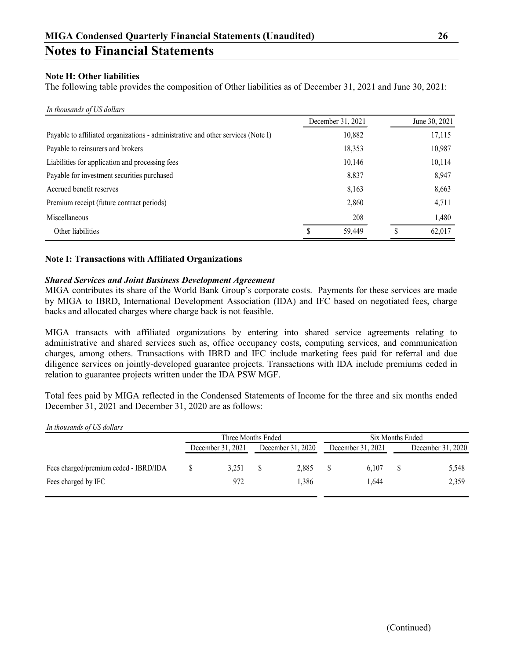#### **Note H: Other liabilities**

The following table provides the composition of Other liabilities as of December 31, 2021 and June 30, 2021:

| In thousands of US dollars                                                       |                   |        |               |
|----------------------------------------------------------------------------------|-------------------|--------|---------------|
|                                                                                  | December 31, 2021 |        | June 30, 2021 |
| Payable to affiliated organizations - administrative and other services (Note I) |                   | 10,882 | 17,115        |
| Payable to reinsurers and brokers                                                | 18,353            |        | 10,987        |
| Liabilities for application and processing fees                                  |                   | 10,146 | 10,114        |
| Payable for investment securities purchased                                      |                   | 8,837  | 8,947         |
| Accrued benefit reserves                                                         |                   | 8,163  | 8,663         |
| Premium receipt (future contract periods)                                        |                   | 2,860  | 4,711         |
| Miscellaneous                                                                    |                   | 208    | 1,480         |
| Other liabilities                                                                | 59,449            |        | 62,017        |

#### **Note I: Transactions with Affiliated Organizations**

#### *Shared Services and Joint Business Development Agreement*

MIGA contributes its share of the World Bank Group's corporate costs. Payments for these services are made by MIGA to IBRD, International Development Association (IDA) and IFC based on negotiated fees, charge backs and allocated charges where charge back is not feasible.

MIGA transacts with affiliated organizations by entering into shared service agreements relating to administrative and shared services such as, office occupancy costs, computing services, and communication charges, among others. Transactions with IBRD and IFC include marketing fees paid for referral and due diligence services on jointly-developed guarantee projects. Transactions with IDA include premiums ceded in relation to guarantee projects written under the IDA PSW MGF.

Total fees paid by MIGA reflected in the Condensed Statements of Income for the three and six months ended December 31, 2021 and December 31, 2020 are as follows:

*In thousands of US dollars*

|                                                              | Three Months Ended |                   |                |                   | Six Months Ended |  |                   |
|--------------------------------------------------------------|--------------------|-------------------|----------------|-------------------|------------------|--|-------------------|
|                                                              | December 31, 2021  | December 31, 2020 |                | December 31, 2021 |                  |  | December 31, 2020 |
| Fees charged/premium ceded - IBRD/IDA<br>Fees charged by IFC | 3.251<br>972       |                   | 2,885<br>1.386 |                   | 6.107<br>1.644   |  | 5,548<br>2,359    |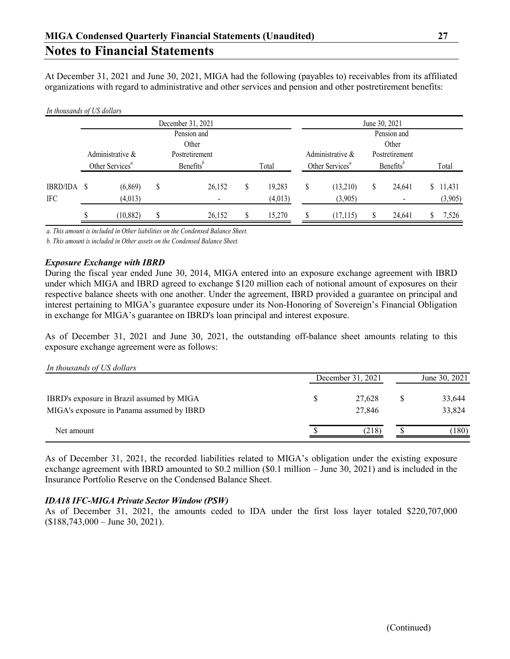At December 31, 2021 and June 30, 2021, MIGA had the following (payables to) receivables from its affiliated organizations with regard to administrative and other services and pension and other postretirement benefits:

#### *In thousands of US dollars*

|                 | December 31, 2021 |                             |    |                                    |             |         |   | June 30, 2021               |  |                                    |    |         |  |  |
|-----------------|-------------------|-----------------------------|----|------------------------------------|-------------|---------|---|-----------------------------|--|------------------------------------|----|---------|--|--|
|                 |                   |                             |    | Pension and                        | Pension and |         |   |                             |  |                                    |    |         |  |  |
|                 | Other             |                             |    |                                    |             |         |   | Other                       |  |                                    |    |         |  |  |
|                 |                   | Administrative &            |    | Postretirement                     |             |         |   | Administrative &            |  | Postretirement                     |    |         |  |  |
|                 |                   | Other Services <sup>a</sup> |    | Benefits <sup><math>b</math></sup> |             | Total   |   | Other Services <sup>a</sup> |  | Benefits <sup><math>b</math></sup> |    | Total   |  |  |
| <b>IBRD/IDA</b> |                   | (6, 869)                    | \$ | 26,152                             | S           | 19,283  | S | (13,210)                    |  | 24,641                             | S. | 11,431  |  |  |
| <b>IFC</b>      |                   | (4,013)                     |    |                                    |             | (4,013) |   | (3,905)                     |  |                                    |    | (3,905) |  |  |
|                 |                   | (10, 882)                   |    | 26,152                             |             | 15,270  |   | (17, 115)                   |  | 24,641                             |    | 7,526   |  |  |

*a. This amount is included in Other liabilities on the Condensed Balance Sheet.*

*b. This amount is included in Other assets on the Condensed Balance Sheet.*

#### *Exposure Exchange with IBRD*

During the fiscal year ended June 30, 2014, MIGA entered into an exposure exchange agreement with IBRD under which MIGA and IBRD agreed to exchange \$120 million each of notional amount of exposures on their respective balance sheets with one another. Under the agreement, IBRD provided a guarantee on principal and interest pertaining to MIGA's guarantee exposure under its Non-Honoring of Sovereign's Financial Obligation in exchange for MIGA's guarantee on IBRD's loan principal and interest exposure.

As of December 31, 2021 and June 30, 2021, the outstanding off-balance sheet amounts relating to this exposure exchange agreement were as follows:

#### *In thousands of US dollars*

|                                           | December 31, 2021 | June 30, 2021 |
|-------------------------------------------|-------------------|---------------|
| IBRD's exposure in Brazil assumed by MIGA | 27,628            | 33,644        |
| MIGA's exposure in Panama assumed by IBRD | 27,846            | 33,824        |
| Net amount                                | (218)             | (180)         |

As of December 31, 2021, the recorded liabilities related to MIGA's obligation under the existing exposure exchange agreement with IBRD amounted to \$0.2 million (\$0.1 million – June 30, 2021) and is included in the Insurance Portfolio Reserve on the Condensed Balance Sheet.

#### *IDA18 IFC-MIGA Private Sector Window (PSW)*

As of December 31, 2021, the amounts ceded to IDA under the first loss layer totaled \$220,707,000 (\$188,743,000 – June 30, 2021).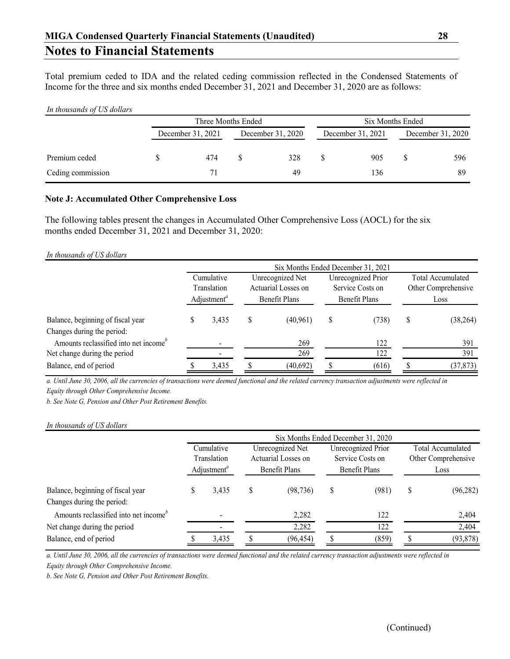Total premium ceded to IDA and the related ceding commission reflected in the Condensed Statements of Income for the three and six months ended December 31, 2021 and December 31, 2020 are as follows:

#### *In thousands of US dollars*

|                   |                   | Three Months Ended |                   | Six Months Ended |                   |     |                   |     |  |  |
|-------------------|-------------------|--------------------|-------------------|------------------|-------------------|-----|-------------------|-----|--|--|
|                   | December 31, 2021 |                    | December 31, 2020 |                  | December 31, 2021 |     | December 31, 2020 |     |  |  |
| Premium ceded     |                   | 474                |                   | 328              |                   | 905 |                   | 596 |  |  |
| Ceding commission |                   | 71                 |                   | 49               |                   | 136 |                   | 89  |  |  |

#### **Note J: Accumulated Other Comprehensive Loss**

The following tables present the changes in Accumulated Other Comprehensive Loss (AOCL) for the six months ended December 31, 2021 and December 31, 2020:

#### *In thousands of US dollars*

|                                                                 |   |                                                                   |   | Six Months Ended December 31, 2021                       |   |                                                         |                                                         |           |  |
|-----------------------------------------------------------------|---|-------------------------------------------------------------------|---|----------------------------------------------------------|---|---------------------------------------------------------|---------------------------------------------------------|-----------|--|
|                                                                 |   | Cumulative<br>Translation<br>Adjustment <sup><math>a</math></sup> |   | Unrecognized Net<br>Actuarial Losses on<br>Benefit Plans |   | Unrecognized Prior<br>Service Costs on<br>Benefit Plans | <b>Total Accumulated</b><br>Other Comprehensive<br>Loss |           |  |
| Balance, beginning of fiscal year<br>Changes during the period: | S | 3.435                                                             | S | (40,961)                                                 | S | (738)                                                   | S                                                       | (38, 264) |  |
| Amounts reclassified into net income <sup>b</sup>               |   |                                                                   |   | 269                                                      |   | 122                                                     |                                                         | 391       |  |
| Net change during the period                                    |   |                                                                   |   | 269                                                      |   | 122                                                     |                                                         | 391       |  |
| Balance, end of period                                          |   | 3,435                                                             |   | (40,692)                                                 |   | (616)                                                   |                                                         | (37, 873) |  |

*a. Until June 30, 2006, all the currencies of transactions were deemed functional and the related currency transaction adjustments were reflected in Equity through Other Comprehensive Income.*

*b. See Note G, Pension and Other Post Retirement Benefits.*

#### *In thousands of US dollars*

|                                                   |                           | Six Months Ended December 31, 2020   |    |                                         |                                        |       |                                          |           |  |  |  |
|---------------------------------------------------|---------------------------|--------------------------------------|----|-----------------------------------------|----------------------------------------|-------|------------------------------------------|-----------|--|--|--|
|                                                   | Cumulative<br>Translation |                                      |    | Unrecognized Net<br>Actuarial Losses on | Unrecognized Prior<br>Service Costs on |       | Total Accumulated<br>Other Comprehensive |           |  |  |  |
|                                                   |                           | Adjustment <sup><math>a</math></sup> |    | <b>Benefit Plans</b>                    | <b>Benefit Plans</b>                   |       | Loss                                     |           |  |  |  |
| Balance, beginning of fiscal year                 |                           | 3,435                                | \$ | (98, 736)                               | S                                      | (981) | \$                                       | (96, 282) |  |  |  |
| Changes during the period:                        |                           |                                      |    |                                         |                                        |       |                                          |           |  |  |  |
| Amounts reclassified into net income <sup>b</sup> |                           |                                      |    | 2,282                                   |                                        | 122   |                                          | 2,404     |  |  |  |
| Net change during the period                      |                           |                                      |    | 2,282                                   |                                        | 122   |                                          | 2,404     |  |  |  |
| Balance, end of period                            |                           | 3,435                                |    | (96, 454)                               |                                        | (859) |                                          | (93, 878) |  |  |  |

*a. Until June 30, 2006, all the currencies of transactions were deemed functional and the related currency transaction adjustments were reflected in Equity through Other Comprehensive Income.*

*b. See Note G, Pension and Other Post Retirement Benefits.*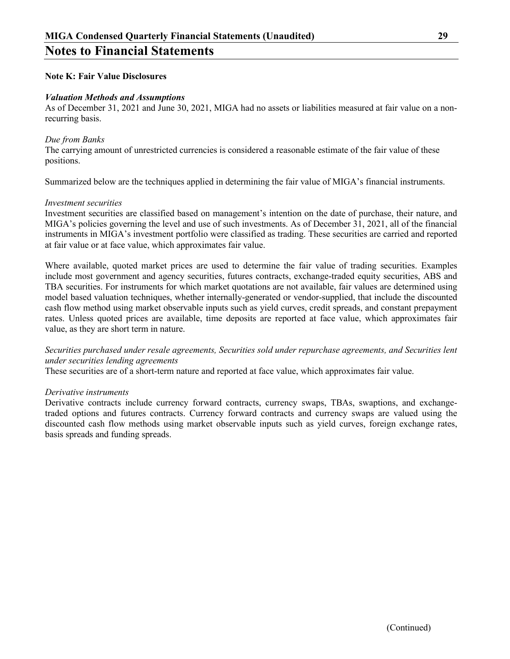#### **Note K: Fair Value Disclosures**

#### *Valuation Methods and Assumptions*

As of December 31, 2021 and June 30, 2021, MIGA had no assets or liabilities measured at fair value on a nonrecurring basis.

#### *Due from Banks*

The carrying amount of unrestricted currencies is considered a reasonable estimate of the fair value of these positions.

Summarized below are the techniques applied in determining the fair value of MIGA's financial instruments.

#### *Investment securities*

Investment securities are classified based on management's intention on the date of purchase, their nature, and MIGA's policies governing the level and use of such investments. As of December 31, 2021, all of the financial instruments in MIGA's investment portfolio were classified as trading. These securities are carried and reported at fair value or at face value, which approximates fair value.

Where available, quoted market prices are used to determine the fair value of trading securities. Examples include most government and agency securities, futures contracts, exchange-traded equity securities, ABS and TBA securities. For instruments for which market quotations are not available, fair values are determined using model based valuation techniques, whether internally-generated or vendor-supplied, that include the discounted cash flow method using market observable inputs such as yield curves, credit spreads, and constant prepayment rates. Unless quoted prices are available, time deposits are reported at face value, which approximates fair value, as they are short term in nature.

*Securities purchased under resale agreements, Securities sold under repurchase agreements, and Securities lent under securities lending agreements*

These securities are of a short-term nature and reported at face value, which approximates fair value.

#### *Derivative instruments*

Derivative contracts include currency forward contracts, currency swaps, TBAs, swaptions, and exchangetraded options and futures contracts. Currency forward contracts and currency swaps are valued using the discounted cash flow methods using market observable inputs such as yield curves, foreign exchange rates, basis spreads and funding spreads.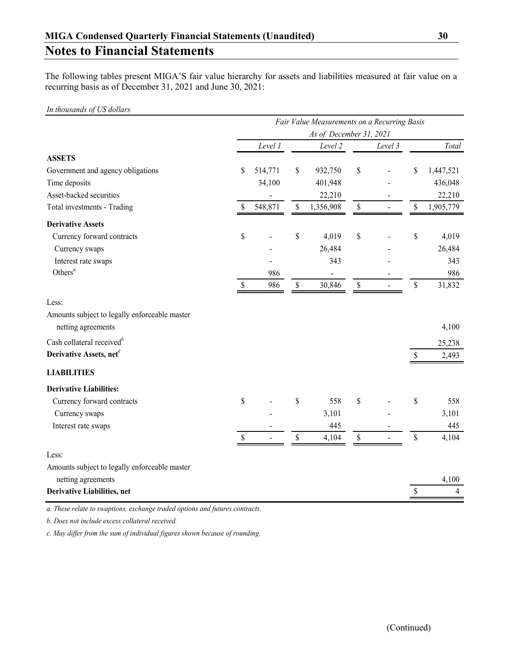The following tables present MIGA'S fair value hierarchy for assets and liabilities measured at fair value on a recurring basis as of December 31, 2021 and June 30, 2021:

#### *In thousands of US dollars*

|                                               | Fair Value Measurements on a Recurring Basis |                |             |           |             |                          |               |                |  |
|-----------------------------------------------|----------------------------------------------|----------------|-------------|-----------|-------------|--------------------------|---------------|----------------|--|
|                                               | As of December 31, 2021                      |                |             |           |             |                          |               |                |  |
|                                               |                                              | Level 1        |             | Level 2   |             | Level 3                  |               | Total          |  |
| <b>ASSETS</b>                                 |                                              |                |             |           |             |                          |               |                |  |
| Government and agency obligations             | \$                                           | 514,771        | \$          | 932,750   | \$          |                          | \$            | 1,447,521      |  |
| Time deposits                                 |                                              | 34,100         |             | 401,948   |             |                          |               | 436,048        |  |
| Asset-backed securities                       |                                              |                |             | 22,210    |             |                          |               | 22,210         |  |
| Total investments - Trading                   | $\mathcal{S}$                                | 548,871        | $\mathbb S$ | 1,356,908 | $\mathbb S$ |                          | \$            | 1,905,779      |  |
| <b>Derivative Assets</b>                      |                                              |                |             |           |             |                          |               |                |  |
| Currency forward contracts                    | \$                                           |                | \$          | 4,019     | \$          |                          | \$            | 4,019          |  |
| Currency swaps                                |                                              |                |             | 26,484    |             |                          |               | 26,484         |  |
| Interest rate swaps                           |                                              |                |             | 343       |             |                          |               | 343            |  |
| Others <sup><math>a</math></sup>              |                                              | 986            |             |           |             |                          |               | 986            |  |
|                                               | \$                                           | 986            | \$          | 30,846    | \$          |                          | $\mathbb S$   | 31,832         |  |
| Less:                                         |                                              |                |             |           |             |                          |               |                |  |
| Amounts subject to legally enforceable master |                                              |                |             |           |             |                          |               |                |  |
| netting agreements                            |                                              |                |             |           |             |                          |               | 4,100          |  |
| Cash collateral received <sup>b</sup>         |                                              |                |             |           |             |                          |               | 25,238         |  |
| Derivative Assets, net <sup>c</sup>           |                                              |                |             |           |             |                          | $\mathcal{S}$ | 2,493          |  |
| <b>LIABILITIES</b>                            |                                              |                |             |           |             |                          |               |                |  |
| <b>Derivative Liabilities:</b>                |                                              |                |             |           |             |                          |               |                |  |
| Currency forward contracts                    | \$                                           |                | \$          | 558       | \$          |                          | \$            | 558            |  |
| Currency swaps                                |                                              |                |             | 3,101     |             |                          |               | 3,101          |  |
| Interest rate swaps                           |                                              |                |             | 445       |             |                          |               | 445            |  |
|                                               | $\mathcal{S}$                                | $\overline{a}$ | $\$$        | 4,104     | \$          | $\overline{\phantom{a}}$ | $\mathbb S$   | 4,104          |  |
| Less:                                         |                                              |                |             |           |             |                          |               |                |  |
| Amounts subject to legally enforceable master |                                              |                |             |           |             |                          |               |                |  |
| netting agreements                            |                                              |                |             |           |             |                          |               | 4,100          |  |
| Derivative Liabilities, net                   |                                              |                |             |           |             |                          | $\mathbb{S}$  | $\overline{4}$ |  |

*a. These relate to swaptions, exchange traded options and futures contracts.*

*b. Does not include excess collateral received.*

*c. May differ from the sum of individual figures shown because of rounding.*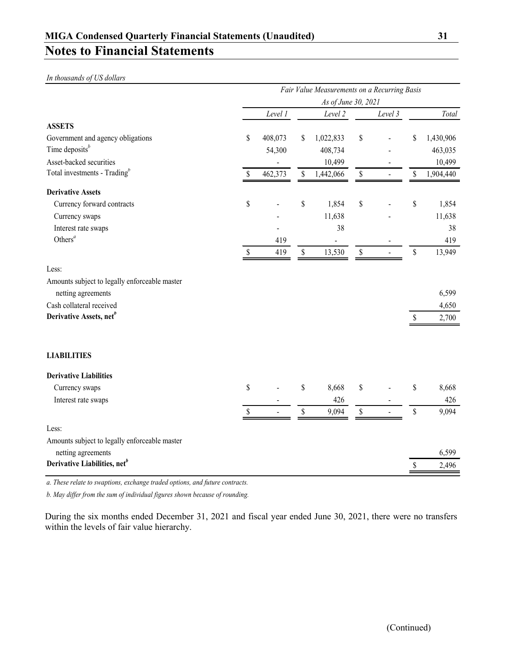#### *In thousands of US dollars*

| As of June 30, 2021<br>Level 1<br>Level 2<br>Level 3<br><b>ASSETS</b><br>\$<br>408,073<br>\$<br>\$<br>\$<br>Government and agency obligations<br>1,022,833<br>Time deposits <sup>b</sup><br>54,300<br>408,734<br>Asset-backed securities<br>10,499<br>Total investments - Trading <sup>b</sup><br>462,373<br>\$<br>$\mathbb S$<br>\$<br>\$<br>1,442,066<br><b>Derivative Assets</b><br>\$<br>\$<br>Currency forward contracts<br>1,854<br>\$<br>\$<br>11,638<br>Currency swaps<br>Interest rate swaps<br>38<br>Others <sup>a</sup><br>419<br>$\mathbb S$<br>13,530<br>$\mathbb S$<br>$\$$<br>\$<br>419<br>Less:<br>Amounts subject to legally enforceable master<br>netting agreements<br>6,599<br>Cash collateral received<br>4,650<br>Derivative Assets, net <sup>b</sup><br>$\mathbb{S}$<br><b>LIABILITIES</b><br><b>Derivative Liabilities</b><br>\$<br>\$<br>8,668<br>\$<br>\$<br>Currency swaps<br>426<br>Interest rate swaps<br>\$<br>\$<br>\$<br>9,094<br>\$<br>Less:<br>Amounts subject to legally enforceable master<br>netting agreements |                                          | Fair Value Measurements on a Recurring Basis |  |  |  |  |  |    |           |
|------------------------------------------------------------------------------------------------------------------------------------------------------------------------------------------------------------------------------------------------------------------------------------------------------------------------------------------------------------------------------------------------------------------------------------------------------------------------------------------------------------------------------------------------------------------------------------------------------------------------------------------------------------------------------------------------------------------------------------------------------------------------------------------------------------------------------------------------------------------------------------------------------------------------------------------------------------------------------------------------------------------------------------------------------|------------------------------------------|----------------------------------------------|--|--|--|--|--|----|-----------|
|                                                                                                                                                                                                                                                                                                                                                                                                                                                                                                                                                                                                                                                                                                                                                                                                                                                                                                                                                                                                                                                      |                                          |                                              |  |  |  |  |  |    |           |
|                                                                                                                                                                                                                                                                                                                                                                                                                                                                                                                                                                                                                                                                                                                                                                                                                                                                                                                                                                                                                                                      |                                          |                                              |  |  |  |  |  |    | Total     |
|                                                                                                                                                                                                                                                                                                                                                                                                                                                                                                                                                                                                                                                                                                                                                                                                                                                                                                                                                                                                                                                      |                                          |                                              |  |  |  |  |  |    |           |
|                                                                                                                                                                                                                                                                                                                                                                                                                                                                                                                                                                                                                                                                                                                                                                                                                                                                                                                                                                                                                                                      |                                          |                                              |  |  |  |  |  |    | 1,430,906 |
|                                                                                                                                                                                                                                                                                                                                                                                                                                                                                                                                                                                                                                                                                                                                                                                                                                                                                                                                                                                                                                                      |                                          |                                              |  |  |  |  |  |    | 463,035   |
|                                                                                                                                                                                                                                                                                                                                                                                                                                                                                                                                                                                                                                                                                                                                                                                                                                                                                                                                                                                                                                                      |                                          |                                              |  |  |  |  |  |    | 10,499    |
|                                                                                                                                                                                                                                                                                                                                                                                                                                                                                                                                                                                                                                                                                                                                                                                                                                                                                                                                                                                                                                                      |                                          |                                              |  |  |  |  |  |    | 1,904,440 |
|                                                                                                                                                                                                                                                                                                                                                                                                                                                                                                                                                                                                                                                                                                                                                                                                                                                                                                                                                                                                                                                      |                                          |                                              |  |  |  |  |  |    |           |
|                                                                                                                                                                                                                                                                                                                                                                                                                                                                                                                                                                                                                                                                                                                                                                                                                                                                                                                                                                                                                                                      |                                          |                                              |  |  |  |  |  |    | 1,854     |
|                                                                                                                                                                                                                                                                                                                                                                                                                                                                                                                                                                                                                                                                                                                                                                                                                                                                                                                                                                                                                                                      |                                          |                                              |  |  |  |  |  |    | 11,638    |
|                                                                                                                                                                                                                                                                                                                                                                                                                                                                                                                                                                                                                                                                                                                                                                                                                                                                                                                                                                                                                                                      |                                          |                                              |  |  |  |  |  |    | 38        |
|                                                                                                                                                                                                                                                                                                                                                                                                                                                                                                                                                                                                                                                                                                                                                                                                                                                                                                                                                                                                                                                      |                                          |                                              |  |  |  |  |  |    | 419       |
|                                                                                                                                                                                                                                                                                                                                                                                                                                                                                                                                                                                                                                                                                                                                                                                                                                                                                                                                                                                                                                                      |                                          |                                              |  |  |  |  |  |    | 13,949    |
|                                                                                                                                                                                                                                                                                                                                                                                                                                                                                                                                                                                                                                                                                                                                                                                                                                                                                                                                                                                                                                                      |                                          |                                              |  |  |  |  |  |    |           |
|                                                                                                                                                                                                                                                                                                                                                                                                                                                                                                                                                                                                                                                                                                                                                                                                                                                                                                                                                                                                                                                      |                                          |                                              |  |  |  |  |  |    |           |
|                                                                                                                                                                                                                                                                                                                                                                                                                                                                                                                                                                                                                                                                                                                                                                                                                                                                                                                                                                                                                                                      |                                          |                                              |  |  |  |  |  |    |           |
|                                                                                                                                                                                                                                                                                                                                                                                                                                                                                                                                                                                                                                                                                                                                                                                                                                                                                                                                                                                                                                                      |                                          |                                              |  |  |  |  |  |    | 2,700     |
|                                                                                                                                                                                                                                                                                                                                                                                                                                                                                                                                                                                                                                                                                                                                                                                                                                                                                                                                                                                                                                                      |                                          |                                              |  |  |  |  |  |    |           |
|                                                                                                                                                                                                                                                                                                                                                                                                                                                                                                                                                                                                                                                                                                                                                                                                                                                                                                                                                                                                                                                      |                                          |                                              |  |  |  |  |  |    |           |
|                                                                                                                                                                                                                                                                                                                                                                                                                                                                                                                                                                                                                                                                                                                                                                                                                                                                                                                                                                                                                                                      |                                          |                                              |  |  |  |  |  |    |           |
|                                                                                                                                                                                                                                                                                                                                                                                                                                                                                                                                                                                                                                                                                                                                                                                                                                                                                                                                                                                                                                                      |                                          |                                              |  |  |  |  |  |    | 8,668     |
|                                                                                                                                                                                                                                                                                                                                                                                                                                                                                                                                                                                                                                                                                                                                                                                                                                                                                                                                                                                                                                                      |                                          |                                              |  |  |  |  |  |    | 426       |
|                                                                                                                                                                                                                                                                                                                                                                                                                                                                                                                                                                                                                                                                                                                                                                                                                                                                                                                                                                                                                                                      |                                          |                                              |  |  |  |  |  |    | 9,094     |
|                                                                                                                                                                                                                                                                                                                                                                                                                                                                                                                                                                                                                                                                                                                                                                                                                                                                                                                                                                                                                                                      |                                          |                                              |  |  |  |  |  |    |           |
|                                                                                                                                                                                                                                                                                                                                                                                                                                                                                                                                                                                                                                                                                                                                                                                                                                                                                                                                                                                                                                                      |                                          |                                              |  |  |  |  |  |    |           |
|                                                                                                                                                                                                                                                                                                                                                                                                                                                                                                                                                                                                                                                                                                                                                                                                                                                                                                                                                                                                                                                      |                                          |                                              |  |  |  |  |  |    | 6,599     |
|                                                                                                                                                                                                                                                                                                                                                                                                                                                                                                                                                                                                                                                                                                                                                                                                                                                                                                                                                                                                                                                      | Derivative Liabilities, net <sup>b</sup> |                                              |  |  |  |  |  | \$ | 2,496     |

*a. These relate to swaptions, exchange traded options, and future contracts.*

*b. May differ from the sum of individual figures shown because of rounding.*

During the six months ended December 31, 2021 and fiscal year ended June 30, 2021, there were no transfers within the levels of fair value hierarchy.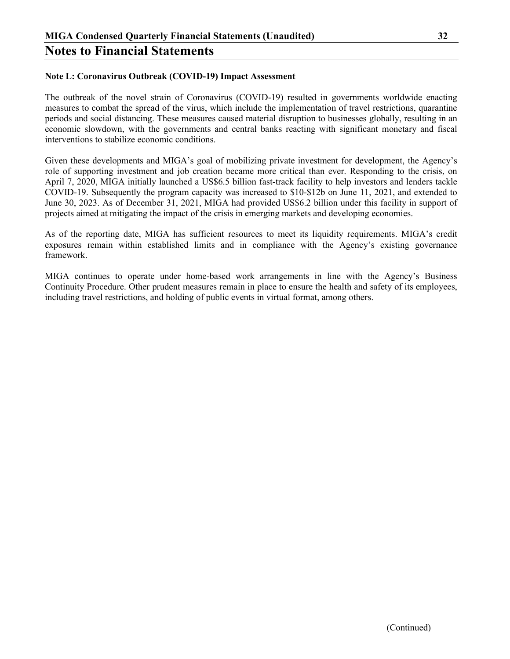#### **Note L: Coronavirus Outbreak (COVID-19) Impact Assessment**

The outbreak of the novel strain of Coronavirus (COVID-19) resulted in governments worldwide enacting measures to combat the spread of the virus, which include the implementation of travel restrictions, quarantine periods and social distancing. These measures caused material disruption to businesses globally, resulting in an economic slowdown, with the governments and central banks reacting with significant monetary and fiscal interventions to stabilize economic conditions.

Given these developments and MIGA's goal of mobilizing private investment for development, the Agency's role of supporting investment and job creation became more critical than ever. Responding to the crisis, on April 7, 2020, MIGA initially launched a US\$6.5 billion fast-track facility to help investors and lenders tackle COVID-19. Subsequently the program capacity was increased to \$10-\$12b on June 11, 2021, and extended to June 30, 2023. As of December 31, 2021, MIGA had provided US\$6.2 billion under this facility in support of projects aimed at mitigating the impact of the crisis in emerging markets and developing economies.

As of the reporting date, MIGA has sufficient resources to meet its liquidity requirements. MIGA's credit exposures remain within established limits and in compliance with the Agency's existing governance framework.

MIGA continues to operate under home-based work arrangements in line with the Agency's Business Continuity Procedure. Other prudent measures remain in place to ensure the health and safety of its employees, including travel restrictions, and holding of public events in virtual format, among others.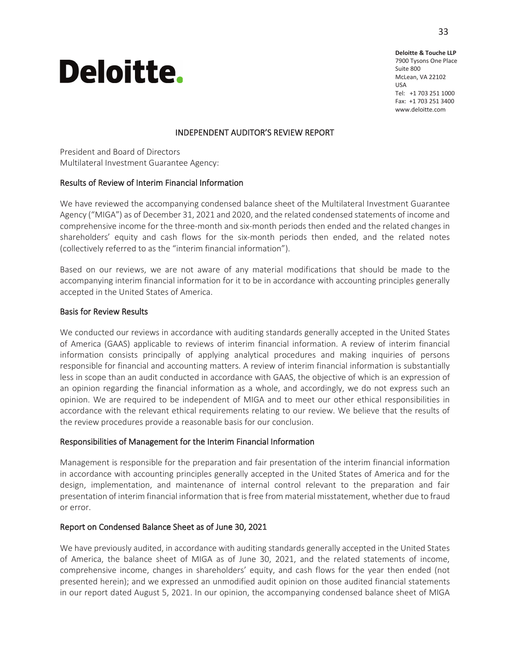# **Deloitte**.

**Deloitte & Touche LLP** 7900 Tysons One Place Suite 800 McLean, VA 22102 USA Tel: +1 703 251 1000 Fax: +1 703 251 3400 www.deloitte.com

#### INDEPENDENT AUDITOR'S REVIEW REPORT

President and Board of Directors Multilateral Investment Guarantee Agency:

#### Results of Review of Interim Financial Information

We have reviewed the accompanying condensed balance sheet of the Multilateral Investment Guarantee Agency ("MIGA") as of December 31, 2021 and 2020, and the related condensed statements of income and comprehensive income for the three-month and six-month periods then ended and the related changes in shareholders' equity and cash flows for the six-month periods then ended, and the related notes (collectively referred to as the "interim financial information").

Based on our reviews, we are not aware of any material modifications that should be made to the accompanying interim financial information for it to be in accordance with accounting principles generally accepted in the United States of America.

#### Basis for Review Results

We conducted our reviews in accordance with auditing standards generally accepted in the United States of America (GAAS) applicable to reviews of interim financial information. A review of interim financial information consists principally of applying analytical procedures and making inquiries of persons responsible for financial and accounting matters. A review of interim financial information is substantially less in scope than an audit conducted in accordance with GAAS, the objective of which is an expression of an opinion regarding the financial information as a whole, and accordingly, we do not express such an opinion. We are required to be independent of MIGA and to meet our other ethical responsibilities in accordance with the relevant ethical requirements relating to our review. We believe that the results of the review procedures provide a reasonable basis for our conclusion.

#### Responsibilities of Management for the Interim Financial Information

Management is responsible for the preparation and fair presentation of the interim financial information in accordance with accounting principles generally accepted in the United States of America and for the design, implementation, and maintenance of internal control relevant to the preparation and fair presentation of interim financial information that is free from material misstatement, whether due to fraud or error.

#### Report on Condensed Balance Sheet as of June 30, 2021

We have previously audited, in accordance with auditing standards generally accepted in the United States of America, the balance sheet of MIGA as of June 30, 2021, and the related statements of income, comprehensive income, changes in shareholders' equity, and cash flows for the year then ended (not presented herein); and we expressed an unmodified audit opinion on those audited financial statements in our report dated August 5, 2021. In our opinion, the accompanying condensed balance sheet of MIGA